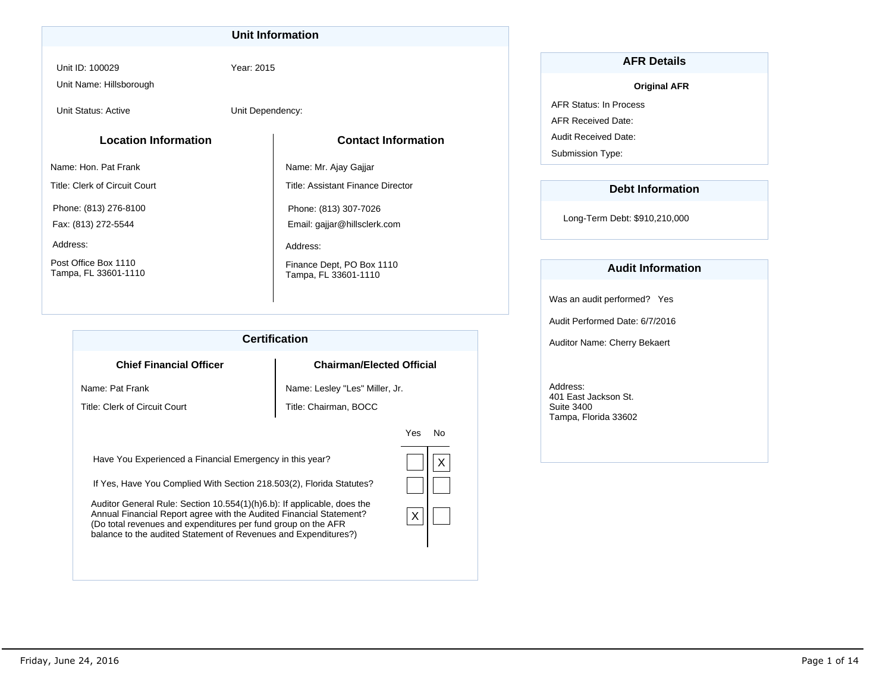### **Unit Information**

Unit ID: 100029

Unit Name: Hillsborough

Unit Status: Active

Unit Dependency:

Year: 2015

# **Location Information**

Name: Hon. Pat Frank

Title: Clerk of Circuit Court

Phone: (813) 276-8100

Fax: (813) 272-5544

Address:

Post Office Box 1110 Tampa, FL 33601-1110

**Contact Information** Name: Mr. Ajay Gajjar Title: Assistant Finance Director Finance Dept, PO Box 1110 Tampa, FL 33601-1110 Phone: (813) 307-7026 Email: gajjar@hillsclerk.com Address:

|                                                                                                                                                                                                                                                                                    | <b>Certification</b>             |
|------------------------------------------------------------------------------------------------------------------------------------------------------------------------------------------------------------------------------------------------------------------------------------|----------------------------------|
| <b>Chief Financial Officer</b>                                                                                                                                                                                                                                                     | <b>Chairman/Elected Official</b> |
| Name: Pat Frank                                                                                                                                                                                                                                                                    | Name: Lesley "Les" Miller, Jr.   |
| Title: Clerk of Circuit Court                                                                                                                                                                                                                                                      | Title: Chairman, BOCC            |
|                                                                                                                                                                                                                                                                                    | Yes<br>No                        |
| Have You Experienced a Financial Emergency in this year?                                                                                                                                                                                                                           |                                  |
| If Yes, Have You Complied With Section 218.503(2), Florida Statutes?                                                                                                                                                                                                               |                                  |
| Auditor General Rule: Section 10.554(1)(h)6.b): If applicable, does the<br>Annual Financial Report agree with the Audited Financial Statement?<br>(Do total revenues and expenditures per fund group on the AFR<br>balance to the audited Statement of Revenues and Expenditures?) | X                                |

## **AFR Details**

#### **Original AFR**

Audit Received Date: AFR Received Date: AFR Status: In Process Submission Type:

## **Debt Information**

Long-Term Debt: \$910,210,000

## **Audit Information**

Was an audit performed? Yes

Audit Performed Date: 6/7/2016

Auditor Name: Cherry Bekaert

Address: 401 East Jackson St. Suite 3400 Tampa, Florida 33602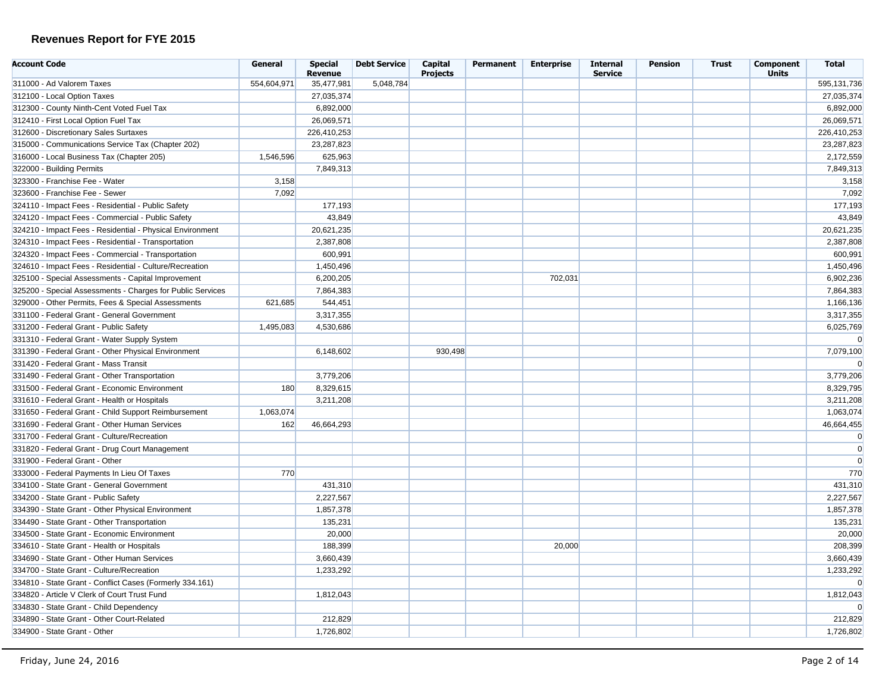# **Revenues Report for FYE 2015**

| <b>Account Code</b>                                        | General     | <b>Special</b><br><b>Revenue</b> | <b>Debt Service</b> | Capital<br><b>Projects</b> | Permanent | <b>Enterprise</b> | <b>Internal</b><br><b>Service</b> | <b>Pension</b> | <b>Trust</b> | Component<br><b>Units</b> | <b>Total</b>   |
|------------------------------------------------------------|-------------|----------------------------------|---------------------|----------------------------|-----------|-------------------|-----------------------------------|----------------|--------------|---------------------------|----------------|
| 311000 - Ad Valorem Taxes                                  | 554,604,971 | 35,477,981                       | 5,048,784           |                            |           |                   |                                   |                |              |                           | 595,131,736    |
| 312100 - Local Option Taxes                                |             | 27,035,374                       |                     |                            |           |                   |                                   |                |              |                           | 27,035,374     |
| 312300 - County Ninth-Cent Voted Fuel Tax                  |             | 6,892,000                        |                     |                            |           |                   |                                   |                |              |                           | 6,892,000      |
| 312410 - First Local Option Fuel Tax                       |             | 26,069,571                       |                     |                            |           |                   |                                   |                |              |                           | 26,069,571     |
| 312600 - Discretionary Sales Surtaxes                      |             | 226,410,253                      |                     |                            |           |                   |                                   |                |              |                           | 226,410,253    |
| 315000 - Communications Service Tax (Chapter 202)          |             | 23,287,823                       |                     |                            |           |                   |                                   |                |              |                           | 23,287,823     |
| 316000 - Local Business Tax (Chapter 205)                  | 1,546,596   | 625,963                          |                     |                            |           |                   |                                   |                |              |                           | 2,172,559      |
| 322000 - Building Permits                                  |             | 7,849,313                        |                     |                            |           |                   |                                   |                |              |                           | 7,849,313      |
| 323300 - Franchise Fee - Water                             | 3,158       |                                  |                     |                            |           |                   |                                   |                |              |                           | 3,158          |
| 323600 - Franchise Fee - Sewer                             | 7.092       |                                  |                     |                            |           |                   |                                   |                |              |                           | 7,092          |
| 324110 - Impact Fees - Residential - Public Safety         |             | 177,193                          |                     |                            |           |                   |                                   |                |              |                           | 177,193        |
| 324120 - Impact Fees - Commercial - Public Safety          |             | 43,849                           |                     |                            |           |                   |                                   |                |              |                           | 43,849         |
| 324210 - Impact Fees - Residential - Physical Environment  |             | 20,621,235                       |                     |                            |           |                   |                                   |                |              |                           | 20,621,235     |
| 324310 - Impact Fees - Residential - Transportation        |             | 2,387,808                        |                     |                            |           |                   |                                   |                |              |                           | 2,387,808      |
| 324320 - Impact Fees - Commercial - Transportation         |             | 600,991                          |                     |                            |           |                   |                                   |                |              |                           | 600,991        |
| 324610 - Impact Fees - Residential - Culture/Recreation    |             | 1,450,496                        |                     |                            |           |                   |                                   |                |              |                           | 1,450,496      |
| 325100 - Special Assessments - Capital Improvement         |             | 6,200,205                        |                     |                            |           | 702,031           |                                   |                |              |                           | 6,902,236      |
| 325200 - Special Assessments - Charges for Public Services |             | 7,864,383                        |                     |                            |           |                   |                                   |                |              |                           | 7,864,383      |
| 329000 - Other Permits, Fees & Special Assessments         | 621,685     | 544,451                          |                     |                            |           |                   |                                   |                |              |                           | 1,166,136      |
| 331100 - Federal Grant - General Government                |             | 3,317,355                        |                     |                            |           |                   |                                   |                |              |                           | 3,317,355      |
| 331200 - Federal Grant - Public Safety                     | 1,495,083   | 4,530,686                        |                     |                            |           |                   |                                   |                |              |                           | 6,025,769      |
| 331310 - Federal Grant - Water Supply System               |             |                                  |                     |                            |           |                   |                                   |                |              |                           | $\overline{0}$ |
| 331390 - Federal Grant - Other Physical Environment        |             | 6,148,602                        |                     | 930,498                    |           |                   |                                   |                |              |                           | 7,079,100      |
| 331420 - Federal Grant - Mass Transit                      |             |                                  |                     |                            |           |                   |                                   |                |              |                           | $\Omega$       |
| 331490 - Federal Grant - Other Transportation              |             | 3,779,206                        |                     |                            |           |                   |                                   |                |              |                           | 3,779,206      |
| 331500 - Federal Grant - Economic Environment              | 180         | 8,329,615                        |                     |                            |           |                   |                                   |                |              |                           | 8,329,795      |
| 331610 - Federal Grant - Health or Hospitals               |             | 3,211,208                        |                     |                            |           |                   |                                   |                |              |                           | 3,211,208      |
| 331650 - Federal Grant - Child Support Reimbursement       | 1,063,074   |                                  |                     |                            |           |                   |                                   |                |              |                           | 1,063,074      |
| 331690 - Federal Grant - Other Human Services              | 162         | 46,664,293                       |                     |                            |           |                   |                                   |                |              |                           | 46,664,455     |
| 331700 - Federal Grant - Culture/Recreation                |             |                                  |                     |                            |           |                   |                                   |                |              |                           | $\overline{0}$ |
| 331820 - Federal Grant - Drug Court Management             |             |                                  |                     |                            |           |                   |                                   |                |              |                           | $\overline{0}$ |
| 331900 - Federal Grant - Other                             |             |                                  |                     |                            |           |                   |                                   |                |              |                           | $\overline{0}$ |
| 333000 - Federal Payments In Lieu Of Taxes                 | 770         |                                  |                     |                            |           |                   |                                   |                |              |                           | 770            |
| 334100 - State Grant - General Government                  |             | 431,310                          |                     |                            |           |                   |                                   |                |              |                           | 431,310        |
| 334200 - State Grant - Public Safety                       |             | 2,227,567                        |                     |                            |           |                   |                                   |                |              |                           | 2,227,567      |
| 334390 - State Grant - Other Physical Environment          |             | 1,857,378                        |                     |                            |           |                   |                                   |                |              |                           | 1,857,378      |
| 334490 - State Grant - Other Transportation                |             | 135,231                          |                     |                            |           |                   |                                   |                |              |                           | 135,231        |
| 334500 - State Grant - Economic Environment                |             | 20,000                           |                     |                            |           |                   |                                   |                |              |                           | 20,000         |
| 334610 - State Grant - Health or Hospitals                 |             | 188,399                          |                     |                            |           | 20,000            |                                   |                |              |                           | 208,399        |
| 334690 - State Grant - Other Human Services                |             | 3,660,439                        |                     |                            |           |                   |                                   |                |              |                           | 3,660,439      |
| 334700 - State Grant - Culture/Recreation                  |             | 1,233,292                        |                     |                            |           |                   |                                   |                |              |                           | 1,233,292      |
| 334810 - State Grant - Conflict Cases (Formerly 334.161)   |             |                                  |                     |                            |           |                   |                                   |                |              |                           | $\Omega$       |
| 334820 - Article V Clerk of Court Trust Fund               |             | 1,812,043                        |                     |                            |           |                   |                                   |                |              |                           | 1,812,043      |
| 334830 - State Grant - Child Dependency                    |             |                                  |                     |                            |           |                   |                                   |                |              |                           | $\overline{0}$ |
| 334890 - State Grant - Other Court-Related                 |             | 212,829                          |                     |                            |           |                   |                                   |                |              |                           | 212,829        |
| 334900 - State Grant - Other                               |             | 1,726,802                        |                     |                            |           |                   |                                   |                |              |                           | 1,726,802      |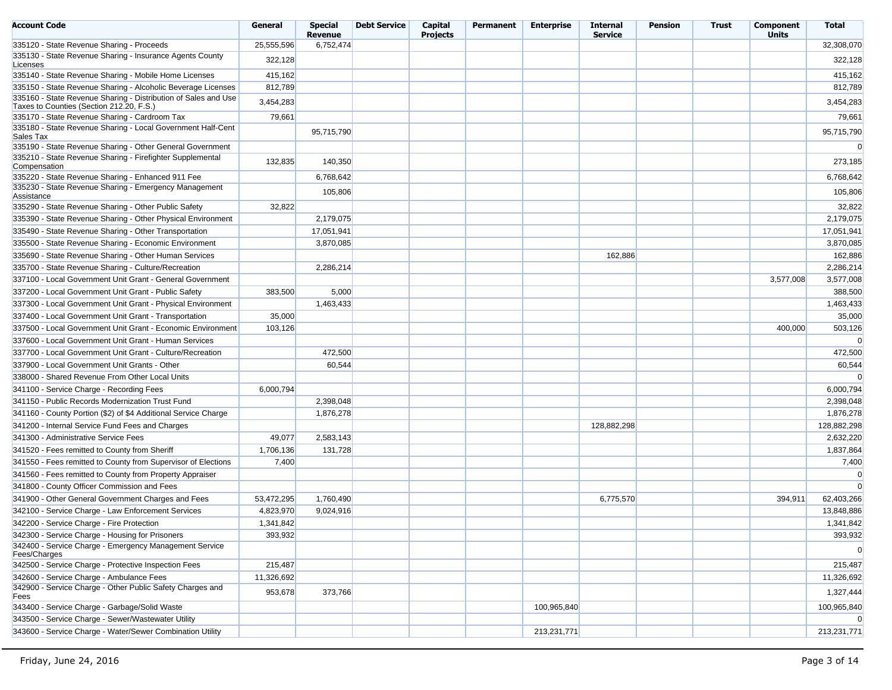| Account Code                                                                                               | General    | <b>Special</b><br><b>Revenue</b> | <b>Debt Service</b> | Capital<br><b>Projects</b> | Permanent | <b>Enterprise</b> | <b>Internal</b><br><b>Service</b> | <b>Pension</b> | <b>Trust</b> | Component<br><b>Units</b> | Total          |
|------------------------------------------------------------------------------------------------------------|------------|----------------------------------|---------------------|----------------------------|-----------|-------------------|-----------------------------------|----------------|--------------|---------------------------|----------------|
| 335120 - State Revenue Sharing - Proceeds                                                                  | 25,555,596 | 6,752,474                        |                     |                            |           |                   |                                   |                |              |                           | 32,308,070     |
| 335130 - State Revenue Sharing - Insurance Agents County<br>Licenses                                       | 322,128    |                                  |                     |                            |           |                   |                                   |                |              |                           | 322,128        |
| 335140 - State Revenue Sharing - Mobile Home Licenses                                                      | 415,162    |                                  |                     |                            |           |                   |                                   |                |              |                           | 415,162        |
| 335150 - State Revenue Sharing - Alcoholic Beverage Licenses                                               | 812,789    |                                  |                     |                            |           |                   |                                   |                |              |                           | 812,789        |
| 335160 - State Revenue Sharing - Distribution of Sales and Use<br>Taxes to Counties (Section 212.20, F.S.) | 3,454,283  |                                  |                     |                            |           |                   |                                   |                |              |                           | 3,454,283      |
| 335170 - State Revenue Sharing - Cardroom Tax                                                              | 79,661     |                                  |                     |                            |           |                   |                                   |                |              |                           | 79,661         |
| 335180 - State Revenue Sharing - Local Government Half-Cent<br>Sales Tax                                   |            | 95.715.790                       |                     |                            |           |                   |                                   |                |              |                           | 95,715,790     |
| 335190 - State Revenue Sharing - Other General Government                                                  |            |                                  |                     |                            |           |                   |                                   |                |              |                           | $\overline{0}$ |
| 335210 - State Revenue Sharing - Firefighter Supplemental<br>Compensation                                  | 132,835    | 140,350                          |                     |                            |           |                   |                                   |                |              |                           | 273,185        |
| 335220 - State Revenue Sharing - Enhanced 911 Fee                                                          |            | 6,768,642                        |                     |                            |           |                   |                                   |                |              |                           | 6,768,642      |
| 335230 - State Revenue Sharing - Emergency Management<br>Assistance                                        |            | 105,806                          |                     |                            |           |                   |                                   |                |              |                           | 105,806        |
| 335290 - State Revenue Sharing - Other Public Safety                                                       | 32,822     |                                  |                     |                            |           |                   |                                   |                |              |                           | 32,822         |
| 335390 - State Revenue Sharing - Other Physical Environment                                                |            | 2,179,075                        |                     |                            |           |                   |                                   |                |              |                           | 2,179,075      |
| 335490 - State Revenue Sharing - Other Transportation                                                      |            | 17,051,941                       |                     |                            |           |                   |                                   |                |              |                           | 17,051,941     |
| 335500 - State Revenue Sharing - Economic Environment                                                      |            | 3.870.085                        |                     |                            |           |                   |                                   |                |              |                           | 3,870,085      |
| 335690 - State Revenue Sharing - Other Human Services                                                      |            |                                  |                     |                            |           |                   | 162,886                           |                |              |                           | 162,886        |
| 335700 - State Revenue Sharing - Culture/Recreation                                                        |            | 2,286,214                        |                     |                            |           |                   |                                   |                |              |                           | 2,286,214      |
| 337100 - Local Government Unit Grant - General Government                                                  |            |                                  |                     |                            |           |                   |                                   |                |              | 3,577,008                 | 3,577,008      |
| 337200 - Local Government Unit Grant - Public Safety                                                       | 383,500    | 5,000                            |                     |                            |           |                   |                                   |                |              |                           | 388,500        |
| 337300 - Local Government Unit Grant - Physical Environment                                                |            | 1,463,433                        |                     |                            |           |                   |                                   |                |              |                           | 1,463,433      |
| 337400 - Local Government Unit Grant - Transportation                                                      | 35,000     |                                  |                     |                            |           |                   |                                   |                |              |                           | 35,000         |
| 337500 - Local Government Unit Grant - Economic Environment                                                | 103,126    |                                  |                     |                            |           |                   |                                   |                |              | 400,000                   | 503,126        |
| 337600 - Local Government Unit Grant - Human Services                                                      |            |                                  |                     |                            |           |                   |                                   |                |              |                           | $\overline{0}$ |
| 337700 - Local Government Unit Grant - Culture/Recreation                                                  |            | 472,500                          |                     |                            |           |                   |                                   |                |              |                           | 472,500        |
| 337900 - Local Government Unit Grants - Other                                                              |            | 60,544                           |                     |                            |           |                   |                                   |                |              |                           | 60,544         |
| 338000 - Shared Revenue From Other Local Units                                                             |            |                                  |                     |                            |           |                   |                                   |                |              |                           | $\Omega$       |
| 341100 - Service Charge - Recording Fees                                                                   | 6,000,794  |                                  |                     |                            |           |                   |                                   |                |              |                           | 6,000,794      |
| 341150 - Public Records Modernization Trust Fund                                                           |            | 2,398,048                        |                     |                            |           |                   |                                   |                |              |                           | 2,398,048      |
| 341160 - County Portion (\$2) of \$4 Additional Service Charge                                             |            | 1,876,278                        |                     |                            |           |                   |                                   |                |              |                           | 1,876,278      |
| 341200 - Internal Service Fund Fees and Charges                                                            |            |                                  |                     |                            |           |                   | 128,882,298                       |                |              |                           | 128,882,298    |
| 341300 - Administrative Service Fees                                                                       | 49,077     | 2,583,143                        |                     |                            |           |                   |                                   |                |              |                           | 2,632,220      |
| 341520 - Fees remitted to County from Sheriff                                                              | 1,706,136  | 131,728                          |                     |                            |           |                   |                                   |                |              |                           | 1,837,864      |
| 341550 - Fees remitted to County from Supervisor of Elections                                              | 7,400      |                                  |                     |                            |           |                   |                                   |                |              |                           | 7,400          |
| 341560 - Fees remitted to County from Property Appraiser                                                   |            |                                  |                     |                            |           |                   |                                   |                |              |                           | $\overline{0}$ |
| 341800 - County Officer Commission and Fees                                                                |            |                                  |                     |                            |           |                   |                                   |                |              |                           |                |
| 341900 - Other General Government Charges and Fees                                                         | 53,472,295 | 1,760,490                        |                     |                            |           |                   | 6,775,570                         |                |              | 394,911                   | 62,403,266     |
| 342100 - Service Charge - Law Enforcement Services                                                         | 4,823,970  | 9,024,916                        |                     |                            |           |                   |                                   |                |              |                           | 13,848,886     |
| 342200 - Service Charge - Fire Protection                                                                  | 1,341,842  |                                  |                     |                            |           |                   |                                   |                |              |                           | 1,341,842      |
| 342300 - Service Charge - Housing for Prisoners                                                            | 393,932    |                                  |                     |                            |           |                   |                                   |                |              |                           | 393,932        |
| 342400 - Service Charge - Emergency Management Service<br>Fees/Charges                                     |            |                                  |                     |                            |           |                   |                                   |                |              |                           | $\overline{0}$ |
| 342500 - Service Charge - Protective Inspection Fees                                                       | 215,487    |                                  |                     |                            |           |                   |                                   |                |              |                           | 215,487        |
| 342600 - Service Charge - Ambulance Fees                                                                   | 11,326,692 |                                  |                     |                            |           |                   |                                   |                |              |                           | 11,326,692     |
| 342900 - Service Charge - Other Public Safety Charges and<br>Fees                                          | 953,678    | 373,766                          |                     |                            |           |                   |                                   |                |              |                           | 1,327,444      |
| 343400 - Service Charge - Garbage/Solid Waste                                                              |            |                                  |                     |                            |           | 100,965,840       |                                   |                |              |                           | 100,965,840    |
| 343500 - Service Charge - Sewer/Wastewater Utility                                                         |            |                                  |                     |                            |           |                   |                                   |                |              |                           | $\overline{0}$ |
| 343600 - Service Charge - Water/Sewer Combination Utility                                                  |            |                                  |                     |                            |           | 213,231,771       |                                   |                |              |                           | 213,231,771    |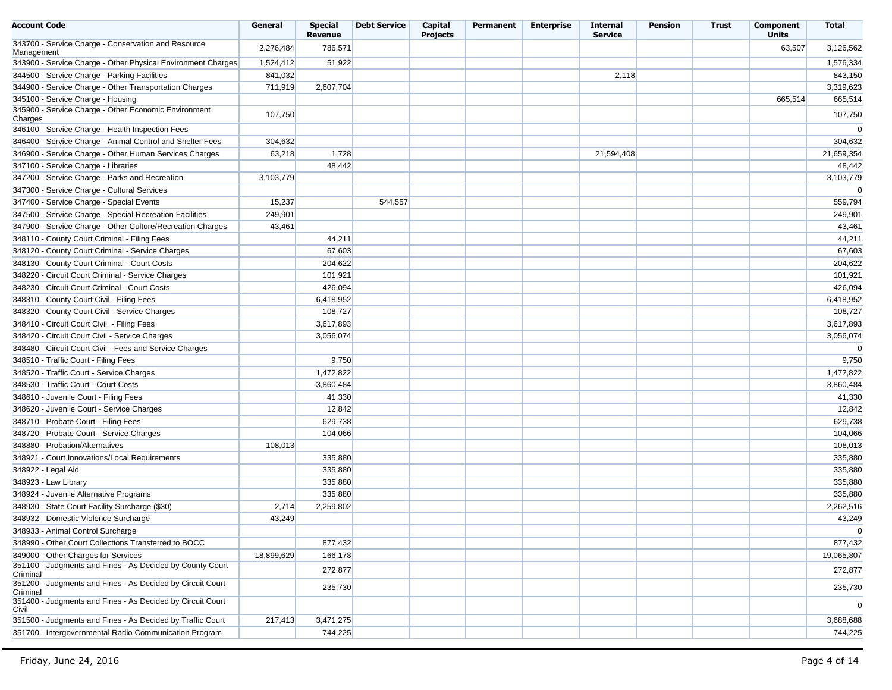| <b>Account Code</b>                                                    | General    | <b>Special</b><br><b>Revenue</b> | <b>Debt Service</b> | Capital<br><b>Projects</b> | Permanent | <b>Enterprise</b> | <b>Internal</b><br><b>Service</b> | <b>Pension</b> | <b>Trust</b> | Component<br><b>Units</b> | <b>Total</b>   |
|------------------------------------------------------------------------|------------|----------------------------------|---------------------|----------------------------|-----------|-------------------|-----------------------------------|----------------|--------------|---------------------------|----------------|
| 343700 - Service Charge - Conservation and Resource<br>Management      | 2,276,484  | 786,571                          |                     |                            |           |                   |                                   |                |              | 63,507                    | 3,126,562      |
| 343900 - Service Charge - Other Physical Environment Charges           | 1,524,412  | 51,922                           |                     |                            |           |                   |                                   |                |              |                           | 1,576,334      |
| 344500 - Service Charge - Parking Facilities                           | 841,032    |                                  |                     |                            |           |                   | 2,118                             |                |              |                           | 843,150        |
| 344900 - Service Charge - Other Transportation Charges                 | 711,919    | 2,607,704                        |                     |                            |           |                   |                                   |                |              |                           | 3,319,623      |
| 345100 - Service Charge - Housing                                      |            |                                  |                     |                            |           |                   |                                   |                |              | 665,514                   | 665,514        |
| 345900 - Service Charge - Other Economic Environment<br>Charges        | 107,750    |                                  |                     |                            |           |                   |                                   |                |              |                           | 107,750        |
| 346100 - Service Charge - Health Inspection Fees                       |            |                                  |                     |                            |           |                   |                                   |                |              |                           | $\overline{0}$ |
| 346400 - Service Charge - Animal Control and Shelter Fees              | 304,632    |                                  |                     |                            |           |                   |                                   |                |              |                           | 304,632        |
| 346900 - Service Charge - Other Human Services Charges                 | 63,218     | 1,728                            |                     |                            |           |                   | 21,594,408                        |                |              |                           | 21,659,354     |
| 347100 - Service Charge - Libraries                                    |            | 48,442                           |                     |                            |           |                   |                                   |                |              |                           | 48,442         |
| 347200 - Service Charge - Parks and Recreation                         | 3,103,779  |                                  |                     |                            |           |                   |                                   |                |              |                           | 3,103,779      |
| 347300 - Service Charge - Cultural Services                            |            |                                  |                     |                            |           |                   |                                   |                |              |                           | $\overline{0}$ |
| 347400 - Service Charge - Special Events                               | 15,237     |                                  | 544,557             |                            |           |                   |                                   |                |              |                           | 559,794        |
| 347500 - Service Charge - Special Recreation Facilities                | 249,901    |                                  |                     |                            |           |                   |                                   |                |              |                           | 249,901        |
| 347900 - Service Charge - Other Culture/Recreation Charges             | 43,461     |                                  |                     |                            |           |                   |                                   |                |              |                           | 43,461         |
| 348110 - County Court Criminal - Filing Fees                           |            | 44,211                           |                     |                            |           |                   |                                   |                |              |                           | 44,211         |
| 348120 - County Court Criminal - Service Charges                       |            | 67,603                           |                     |                            |           |                   |                                   |                |              |                           | 67,603         |
| 348130 - County Court Criminal - Court Costs                           |            | 204,622                          |                     |                            |           |                   |                                   |                |              |                           | 204,622        |
| 348220 - Circuit Court Criminal - Service Charges                      |            | 101,921                          |                     |                            |           |                   |                                   |                |              |                           | 101,921        |
| 348230 - Circuit Court Criminal - Court Costs                          |            | 426,094                          |                     |                            |           |                   |                                   |                |              |                           | 426,094        |
| 348310 - County Court Civil - Filing Fees                              |            | 6,418,952                        |                     |                            |           |                   |                                   |                |              |                           | 6,418,952      |
| 348320 - County Court Civil - Service Charges                          |            | 108,727                          |                     |                            |           |                   |                                   |                |              |                           | 108,727        |
| 348410 - Circuit Court Civil - Filing Fees                             |            | 3,617,893                        |                     |                            |           |                   |                                   |                |              |                           | 3,617,893      |
| 348420 - Circuit Court Civil - Service Charges                         |            | 3,056,074                        |                     |                            |           |                   |                                   |                |              |                           | 3,056,074      |
| 348480 - Circuit Court Civil - Fees and Service Charges                |            |                                  |                     |                            |           |                   |                                   |                |              |                           | $\overline{0}$ |
| 348510 - Traffic Court - Filing Fees                                   |            | 9,750                            |                     |                            |           |                   |                                   |                |              |                           | 9,750          |
| 348520 - Traffic Court - Service Charges                               |            | 1,472,822                        |                     |                            |           |                   |                                   |                |              |                           | 1,472,822      |
| 348530 - Traffic Court - Court Costs                                   |            | 3,860,484                        |                     |                            |           |                   |                                   |                |              |                           | 3,860,484      |
| 348610 - Juvenile Court - Filing Fees                                  |            | 41,330                           |                     |                            |           |                   |                                   |                |              |                           | 41,330         |
| 348620 - Juvenile Court - Service Charges                              |            | 12,842                           |                     |                            |           |                   |                                   |                |              |                           | 12,842         |
| 348710 - Probate Court - Filing Fees                                   |            | 629,738                          |                     |                            |           |                   |                                   |                |              |                           | 629,738        |
| 348720 - Probate Court - Service Charges                               |            | 104,066                          |                     |                            |           |                   |                                   |                |              |                           | 104,066        |
| 348880 - Probation/Alternatives                                        | 108,013    |                                  |                     |                            |           |                   |                                   |                |              |                           | 108,013        |
| 348921 - Court Innovations/Local Requirements                          |            | 335,880                          |                     |                            |           |                   |                                   |                |              |                           | 335,880        |
| 348922 - Legal Aid                                                     |            | 335,880                          |                     |                            |           |                   |                                   |                |              |                           | 335,880        |
| 348923 - Law Library                                                   |            | 335,880                          |                     |                            |           |                   |                                   |                |              |                           | 335,880        |
| 348924 - Juvenile Alternative Programs                                 |            | 335,880                          |                     |                            |           |                   |                                   |                |              |                           | 335,880        |
| 348930 - State Court Facility Surcharge (\$30)                         | 2,714      | 2,259,802                        |                     |                            |           |                   |                                   |                |              |                           | 2,262,516      |
| 348932 - Domestic Violence Surcharge                                   | 43,249     |                                  |                     |                            |           |                   |                                   |                |              |                           | 43,249         |
| 348933 - Animal Control Surcharge                                      |            |                                  |                     |                            |           |                   |                                   |                |              |                           | $\overline{0}$ |
| 348990 - Other Court Collections Transferred to BOCC                   |            | 877,432                          |                     |                            |           |                   |                                   |                |              |                           | 877,432        |
| 349000 - Other Charges for Services                                    | 18,899,629 | 166,178                          |                     |                            |           |                   |                                   |                |              |                           | 19,065,807     |
| 351100 - Judgments and Fines - As Decided by County Court<br>Criminal  |            | 272,877                          |                     |                            |           |                   |                                   |                |              |                           | 272,877        |
| 351200 - Judgments and Fines - As Decided by Circuit Court<br>Criminal |            | 235,730                          |                     |                            |           |                   |                                   |                |              |                           | 235,730        |
| 351400 - Judgments and Fines - As Decided by Circuit Court<br>Civil    |            |                                  |                     |                            |           |                   |                                   |                |              |                           | $\overline{0}$ |
| 351500 - Judgments and Fines - As Decided by Traffic Court             | 217,413    | 3,471,275                        |                     |                            |           |                   |                                   |                |              |                           | 3,688,688      |
| 351700 - Intergovernmental Radio Communication Program                 |            | 744,225                          |                     |                            |           |                   |                                   |                |              |                           | 744,225        |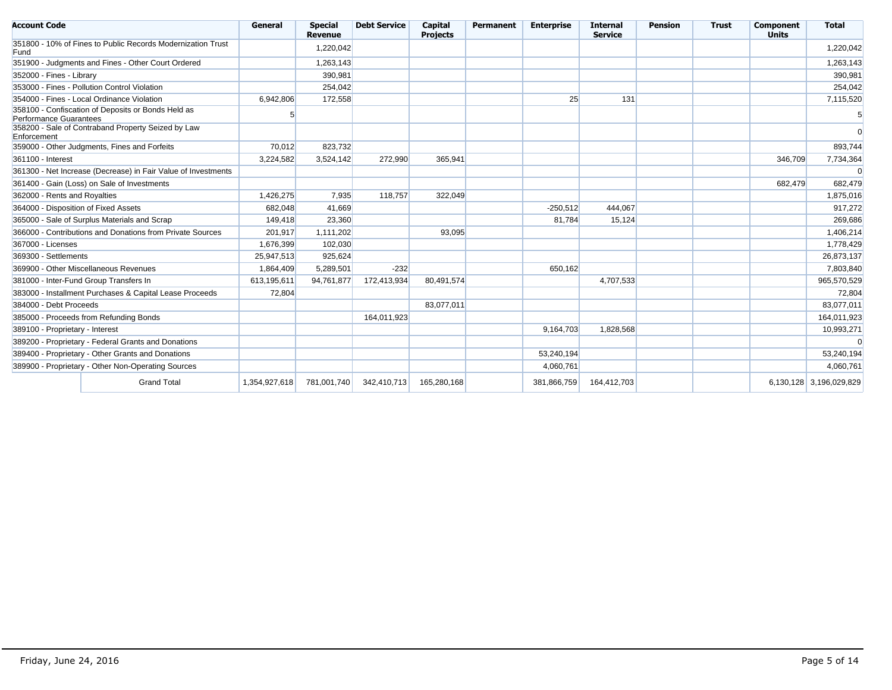| <b>Account Code</b>                    |                                                               | General       | <b>Special</b><br><b>Revenue</b> | <b>Debt Service</b> | Capital<br><b>Projects</b> | Permanent | <b>Enterprise</b> | <b>Internal</b><br><b>Service</b> | <b>Pension</b> | <b>Trust</b> | <b>Component</b><br><b>Units</b> | <b>Total</b>            |
|----------------------------------------|---------------------------------------------------------------|---------------|----------------------------------|---------------------|----------------------------|-----------|-------------------|-----------------------------------|----------------|--------------|----------------------------------|-------------------------|
| Fund                                   | 351800 - 10% of Fines to Public Records Modernization Trust   |               | 1,220,042                        |                     |                            |           |                   |                                   |                |              |                                  | 1,220,042               |
|                                        | 351900 - Judgments and Fines - Other Court Ordered            |               | 1,263,143                        |                     |                            |           |                   |                                   |                |              |                                  | 1,263,143               |
| 352000 - Fines - Library               |                                                               |               | 390.981                          |                     |                            |           |                   |                                   |                |              |                                  | 390.981                 |
|                                        | 353000 - Fines - Pollution Control Violation                  |               | 254,042                          |                     |                            |           |                   |                                   |                |              |                                  | 254,042                 |
|                                        | 354000 - Fines - Local Ordinance Violation                    | 6,942,806     | 172,558                          |                     |                            |           | 25                | 131                               |                |              |                                  | 7,115,520               |
| Performance Guarantees                 | 358100 - Confiscation of Deposits or Bonds Held as            | 5             |                                  |                     |                            |           |                   |                                   |                |              |                                  |                         |
| Enforcement                            | 358200 - Sale of Contraband Property Seized by Law            |               |                                  |                     |                            |           |                   |                                   |                |              |                                  | $\Omega$                |
|                                        | 359000 - Other Judgments, Fines and Forfeits                  | 70,012        | 823,732                          |                     |                            |           |                   |                                   |                |              |                                  | 893,744                 |
| 361100 - Interest                      |                                                               | 3,224,582     | 3,524,142                        | 272,990             | 365,941                    |           |                   |                                   |                |              | 346,709                          | 7,734,364               |
|                                        | 361300 - Net Increase (Decrease) in Fair Value of Investments |               |                                  |                     |                            |           |                   |                                   |                |              |                                  | $\Omega$                |
|                                        | 361400 - Gain (Loss) on Sale of Investments                   |               |                                  |                     |                            |           |                   |                                   |                |              | 682,479                          | 682,479                 |
| 362000 - Rents and Royalties           |                                                               | 1,426,275     | 7.935                            | 118.757             | 322,049                    |           |                   |                                   |                |              |                                  | 1,875,016               |
| 364000 - Disposition of Fixed Assets   |                                                               | 682,048       | 41,669                           |                     |                            |           | $-250,512$        | 444,067                           |                |              |                                  | 917,272                 |
|                                        | 365000 - Sale of Surplus Materials and Scrap                  | 149,418       | 23,360                           |                     |                            |           | 81.784            | 15.124                            |                |              |                                  | 269,686                 |
|                                        | 366000 - Contributions and Donations from Private Sources     | 201,917       | 1,111,202                        |                     | 93,095                     |           |                   |                                   |                |              |                                  | 1,406,214               |
| 367000 - Licenses                      |                                                               | 1,676,399     | 102,030                          |                     |                            |           |                   |                                   |                |              |                                  | 1,778,429               |
| 369300 - Settlements                   |                                                               | 25,947,513    | 925,624                          |                     |                            |           |                   |                                   |                |              |                                  | 26.873.137              |
|                                        | 369900 - Other Miscellaneous Revenues                         | 1,864,409     | 5,289,501                        | $-232$              |                            |           | 650.162           |                                   |                |              |                                  | 7,803,840               |
| 381000 - Inter-Fund Group Transfers In |                                                               | 613,195,611   | 94,761,877                       | 172,413,934         | 80.491.574                 |           |                   | 4,707,533                         |                |              |                                  | 965,570,529             |
|                                        | 383000 - Installment Purchases & Capital Lease Proceeds       | 72,804        |                                  |                     |                            |           |                   |                                   |                |              |                                  | 72,804                  |
| 384000 - Debt Proceeds                 |                                                               |               |                                  |                     | 83,077,011                 |           |                   |                                   |                |              |                                  | 83,077,011              |
|                                        | 385000 - Proceeds from Refunding Bonds                        |               |                                  | 164.011.923         |                            |           |                   |                                   |                |              |                                  | 164.011.923             |
| 389100 - Proprietary - Interest        |                                                               |               |                                  |                     |                            |           | 9,164,703         | 1,828,568                         |                |              |                                  | 10,993,271              |
|                                        | 389200 - Proprietary - Federal Grants and Donations           |               |                                  |                     |                            |           |                   |                                   |                |              |                                  | $\Omega$                |
|                                        | 389400 - Proprietary - Other Grants and Donations             |               |                                  |                     |                            |           | 53,240,194        |                                   |                |              |                                  | 53,240,194              |
|                                        | 389900 - Proprietary - Other Non-Operating Sources            |               |                                  |                     |                            |           | 4,060,761         |                                   |                |              |                                  | 4,060,761               |
|                                        | <b>Grand Total</b>                                            | 1,354,927,618 | 781,001,740                      | 342,410,713         | 165,280,168                |           | 381,866,759       | 164,412,703                       |                |              |                                  | 6,130,128 3,196,029,829 |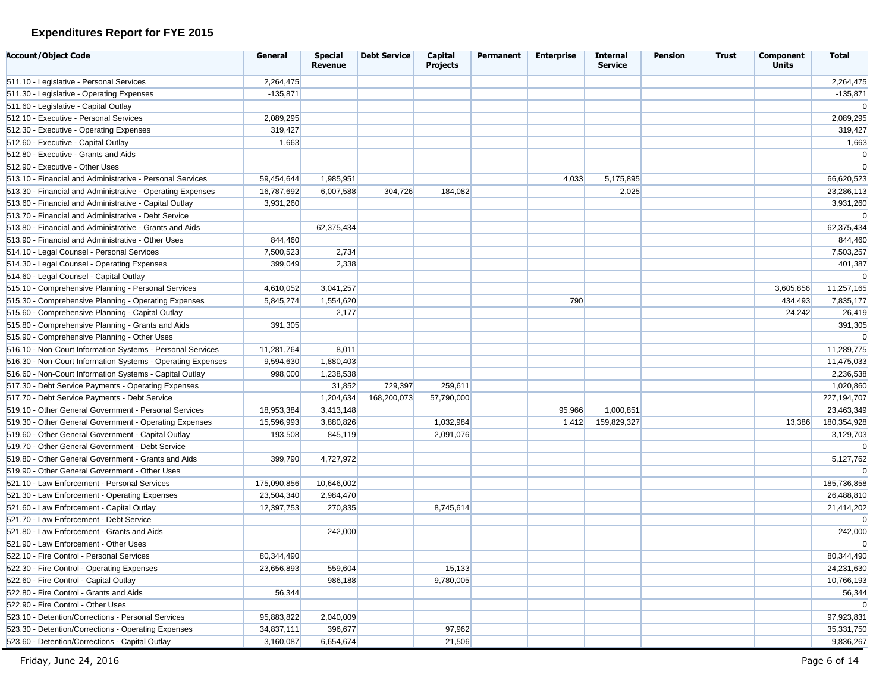# **Expenditures Report for FYE 2015**

| <b>Account/Object Code</b>                                  | General     | <b>Special</b><br><b>Revenue</b> | <b>Debt Service</b> | Capital<br><b>Projects</b> | Permanent | <b>Enterprise</b> | <b>Internal</b><br><b>Service</b> | Pension | <b>Trust</b> | <b>Component</b><br><b>Units</b> | <b>Total</b>   |
|-------------------------------------------------------------|-------------|----------------------------------|---------------------|----------------------------|-----------|-------------------|-----------------------------------|---------|--------------|----------------------------------|----------------|
| 511.10 - Legislative - Personal Services                    | 2,264,475   |                                  |                     |                            |           |                   |                                   |         |              |                                  | 2,264,475      |
| 511.30 - Legislative - Operating Expenses                   | $-135,871$  |                                  |                     |                            |           |                   |                                   |         |              |                                  | $-135,871$     |
| 511.60 - Legislative - Capital Outlay                       |             |                                  |                     |                            |           |                   |                                   |         |              |                                  | $\Omega$       |
| 512.10 - Executive - Personal Services                      | 2,089,295   |                                  |                     |                            |           |                   |                                   |         |              |                                  | 2,089,295      |
| 512.30 - Executive - Operating Expenses                     | 319,427     |                                  |                     |                            |           |                   |                                   |         |              |                                  | 319,427        |
| 512.60 - Executive - Capital Outlay                         | 1,663       |                                  |                     |                            |           |                   |                                   |         |              |                                  | 1,663          |
| 512.80 - Executive - Grants and Aids                        |             |                                  |                     |                            |           |                   |                                   |         |              |                                  | $\mathbf 0$    |
| 512.90 - Executive - Other Uses                             |             |                                  |                     |                            |           |                   |                                   |         |              |                                  | $\overline{0}$ |
| 513.10 - Financial and Administrative - Personal Services   | 59,454,644  | 1,985,951                        |                     |                            |           | 4,033             | 5,175,895                         |         |              |                                  | 66,620,523     |
| 513.30 - Financial and Administrative - Operating Expenses  | 16,787,692  | 6,007,588                        | 304,726             | 184,082                    |           |                   | 2,025                             |         |              |                                  | 23,286,113     |
| 513.60 - Financial and Administrative - Capital Outlay      | 3,931,260   |                                  |                     |                            |           |                   |                                   |         |              |                                  | 3,931,260      |
| 513.70 - Financial and Administrative - Debt Service        |             |                                  |                     |                            |           |                   |                                   |         |              |                                  | $\mathbf 0$    |
| 513.80 - Financial and Administrative - Grants and Aids     |             | 62,375,434                       |                     |                            |           |                   |                                   |         |              |                                  | 62,375,434     |
| 513.90 - Financial and Administrative - Other Uses          | 844,460     |                                  |                     |                            |           |                   |                                   |         |              |                                  | 844,460        |
| 514.10 - Legal Counsel - Personal Services                  | 7,500,523   | 2,734                            |                     |                            |           |                   |                                   |         |              |                                  | 7,503,257      |
| 514.30 - Legal Counsel - Operating Expenses                 | 399,049     | 2,338                            |                     |                            |           |                   |                                   |         |              |                                  | 401,387        |
| 514.60 - Legal Counsel - Capital Outlay                     |             |                                  |                     |                            |           |                   |                                   |         |              |                                  | $\mathbf 0$    |
| 515.10 - Comprehensive Planning - Personal Services         | 4,610,052   | 3,041,257                        |                     |                            |           |                   |                                   |         |              | 3,605,856                        | 11,257,165     |
| 515.30 - Comprehensive Planning - Operating Expenses        | 5,845,274   | 1,554,620                        |                     |                            |           | 790               |                                   |         |              | 434,493                          | 7,835,177      |
| 515.60 - Comprehensive Planning - Capital Outlay            |             | 2,177                            |                     |                            |           |                   |                                   |         |              | 24,242                           | 26,419         |
| 515.80 - Comprehensive Planning - Grants and Aids           | 391,305     |                                  |                     |                            |           |                   |                                   |         |              |                                  | 391,305        |
| 515.90 - Comprehensive Planning - Other Uses                |             |                                  |                     |                            |           |                   |                                   |         |              |                                  | $\Omega$       |
| 516.10 - Non-Court Information Systems - Personal Services  | 11,281,764  | 8,011                            |                     |                            |           |                   |                                   |         |              |                                  | 11,289,775     |
| 516.30 - Non-Court Information Systems - Operating Expenses | 9,594,630   | 1,880,403                        |                     |                            |           |                   |                                   |         |              |                                  | 11,475,033     |
| 516.60 - Non-Court Information Systems - Capital Outlay     | 998,000     | 1,238,538                        |                     |                            |           |                   |                                   |         |              |                                  | 2,236,538      |
| 517.30 - Debt Service Payments - Operating Expenses         |             | 31,852                           | 729,397             | 259,611                    |           |                   |                                   |         |              |                                  | 1,020,860      |
| 517.70 - Debt Service Payments - Debt Service               |             | 1,204,634                        | 168,200,073         | 57,790,000                 |           |                   |                                   |         |              |                                  | 227, 194, 707  |
| 519.10 - Other General Government - Personal Services       | 18,953,384  | 3,413,148                        |                     |                            |           | 95,966            | 1,000,851                         |         |              |                                  | 23,463,349     |
| 519.30 - Other General Government - Operating Expenses      | 15,596,993  | 3,880,826                        |                     | 1,032,984                  |           | 1,412             | 159,829,327                       |         |              | 13,386                           | 180,354,928    |
| 519.60 - Other General Government - Capital Outlay          | 193,508     | 845,119                          |                     | 2,091,076                  |           |                   |                                   |         |              |                                  | 3,129,703      |
| 519.70 - Other General Government - Debt Service            |             |                                  |                     |                            |           |                   |                                   |         |              |                                  | $\Omega$       |
| 519.80 - Other General Government - Grants and Aids         | 399,790     | 4,727,972                        |                     |                            |           |                   |                                   |         |              |                                  | 5,127,762      |
| 519.90 - Other General Government - Other Uses              |             |                                  |                     |                            |           |                   |                                   |         |              |                                  | $\Omega$       |
| 521.10 - Law Enforcement - Personal Services                | 175,090,856 | 10,646,002                       |                     |                            |           |                   |                                   |         |              |                                  | 185,736,858    |
| 521.30 - Law Enforcement - Operating Expenses               | 23,504,340  | 2,984,470                        |                     |                            |           |                   |                                   |         |              |                                  | 26,488,810     |
| 521.60 - Law Enforcement - Capital Outlay                   | 12,397,753  | 270,835                          |                     | 8,745,614                  |           |                   |                                   |         |              |                                  | 21,414,202     |
| 521.70 - Law Enforcement - Debt Service                     |             |                                  |                     |                            |           |                   |                                   |         |              |                                  | $\Omega$       |
| 521.80 - Law Enforcement - Grants and Aids                  |             | 242,000                          |                     |                            |           |                   |                                   |         |              |                                  | 242,000        |
| 521.90 - Law Enforcement - Other Uses                       |             |                                  |                     |                            |           |                   |                                   |         |              |                                  | $\overline{0}$ |
| 522.10 - Fire Control - Personal Services                   | 80,344,490  |                                  |                     |                            |           |                   |                                   |         |              |                                  | 80,344,490     |
| 522.30 - Fire Control - Operating Expenses                  | 23,656,893  | 559,604                          |                     | 15,133                     |           |                   |                                   |         |              |                                  | 24,231,630     |
| 522.60 - Fire Control - Capital Outlay                      |             | 986,188                          |                     | 9,780,005                  |           |                   |                                   |         |              |                                  | 10,766,193     |
| 522.80 - Fire Control - Grants and Aids                     | 56,344      |                                  |                     |                            |           |                   |                                   |         |              |                                  | 56,344         |
| 522.90 - Fire Control - Other Uses                          |             |                                  |                     |                            |           |                   |                                   |         |              |                                  | $\overline{0}$ |
| 523.10 - Detention/Corrections - Personal Services          | 95,883,822  | 2,040,009                        |                     |                            |           |                   |                                   |         |              |                                  | 97,923,831     |
| 523.30 - Detention/Corrections - Operating Expenses         | 34,837,111  | 396,677                          |                     | 97,962                     |           |                   |                                   |         |              |                                  | 35,331,750     |
| 523.60 - Detention/Corrections - Capital Outlay             | 3,160,087   | 6,654,674                        |                     | 21,506                     |           |                   |                                   |         |              |                                  | 9,836,267      |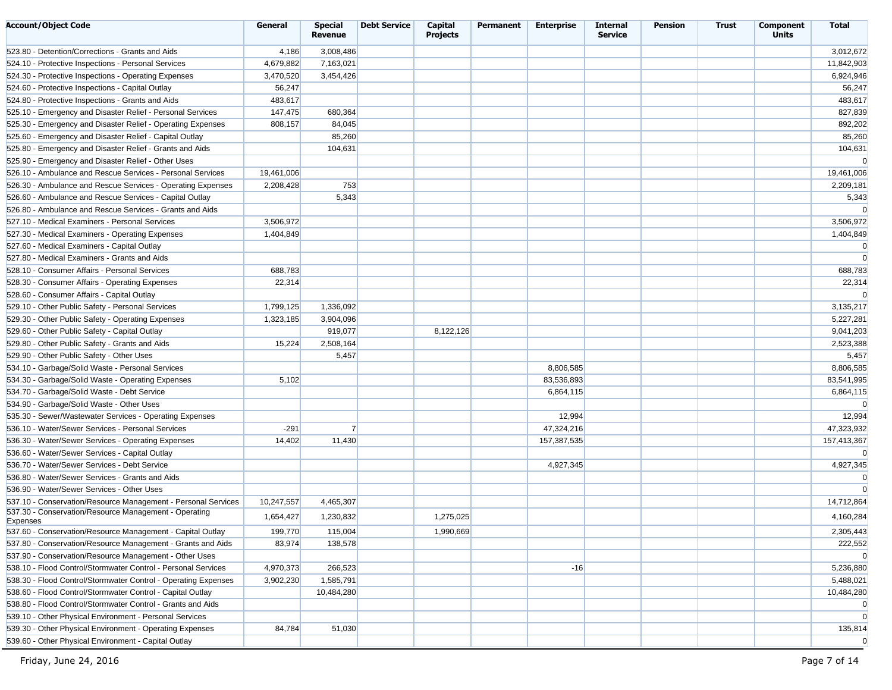| <b>Account/Object Code</b>                                               | General    | <b>Special</b><br>Revenue | <b>Debt Service</b> | Capital<br><b>Projects</b> | Permanent | <b>Enterprise</b> | <b>Internal</b><br><b>Service</b> | <b>Pension</b> | <b>Trust</b> | Component<br><b>Units</b> | <b>Total</b>       |
|--------------------------------------------------------------------------|------------|---------------------------|---------------------|----------------------------|-----------|-------------------|-----------------------------------|----------------|--------------|---------------------------|--------------------|
| 523.80 - Detention/Corrections - Grants and Aids                         | 4,186      | 3,008,486                 |                     |                            |           |                   |                                   |                |              |                           | 3,012,672          |
| 524.10 - Protective Inspections - Personal Services                      | 4,679,882  | 7,163,021                 |                     |                            |           |                   |                                   |                |              |                           | 11,842,903         |
| 524.30 - Protective Inspections - Operating Expenses                     | 3,470,520  | 3,454,426                 |                     |                            |           |                   |                                   |                |              |                           | 6,924,946          |
| 524.60 - Protective Inspections - Capital Outlay                         | 56,247     |                           |                     |                            |           |                   |                                   |                |              |                           | 56,247             |
| 524.80 - Protective Inspections - Grants and Aids                        | 483,617    |                           |                     |                            |           |                   |                                   |                |              |                           | 483,617            |
| 525.10 - Emergency and Disaster Relief - Personal Services               | 147,475    | 680,364                   |                     |                            |           |                   |                                   |                |              |                           | 827,839            |
| 525.30 - Emergency and Disaster Relief - Operating Expenses              | 808,157    | 84,045                    |                     |                            |           |                   |                                   |                |              |                           | 892,202            |
| 525.60 - Emergency and Disaster Relief - Capital Outlay                  |            | 85,260                    |                     |                            |           |                   |                                   |                |              |                           | 85,260             |
| 525.80 - Emergency and Disaster Relief - Grants and Aids                 |            | 104,631                   |                     |                            |           |                   |                                   |                |              |                           | 104,631            |
| 525.90 - Emergency and Disaster Relief - Other Uses                      |            |                           |                     |                            |           |                   |                                   |                |              |                           | $\Omega$           |
| 526.10 - Ambulance and Rescue Services - Personal Services               | 19,461,006 |                           |                     |                            |           |                   |                                   |                |              |                           | 19,461,006         |
| 526.30 - Ambulance and Rescue Services - Operating Expenses              | 2,208,428  | 753                       |                     |                            |           |                   |                                   |                |              |                           | 2,209,181          |
| 526.60 - Ambulance and Rescue Services - Capital Outlay                  |            | 5,343                     |                     |                            |           |                   |                                   |                |              |                           | 5,343              |
| 526.80 - Ambulance and Rescue Services - Grants and Aids                 |            |                           |                     |                            |           |                   |                                   |                |              |                           | $\Omega$           |
| 527.10 - Medical Examiners - Personal Services                           | 3,506,972  |                           |                     |                            |           |                   |                                   |                |              |                           | 3,506,972          |
| 527.30 - Medical Examiners - Operating Expenses                          | 1,404,849  |                           |                     |                            |           |                   |                                   |                |              |                           | 1,404,849          |
| 527.60 - Medical Examiners - Capital Outlay                              |            |                           |                     |                            |           |                   |                                   |                |              |                           | $\overline{0}$     |
|                                                                          |            |                           |                     |                            |           |                   |                                   |                |              |                           | $\overline{0}$     |
| 527.80 - Medical Examiners - Grants and Aids                             |            |                           |                     |                            |           |                   |                                   |                |              |                           |                    |
| 528.10 - Consumer Affairs - Personal Services                            | 688,783    |                           |                     |                            |           |                   |                                   |                |              |                           | 688,783            |
| 528.30 - Consumer Affairs - Operating Expenses                           | 22,314     |                           |                     |                            |           |                   |                                   |                |              |                           | 22,314<br>$\Omega$ |
| 528.60 - Consumer Affairs - Capital Outlay                               |            |                           |                     |                            |           |                   |                                   |                |              |                           |                    |
| 529.10 - Other Public Safety - Personal Services                         | 1,799,125  | 1,336,092                 |                     |                            |           |                   |                                   |                |              |                           | 3,135,217          |
| 529.30 - Other Public Safety - Operating Expenses                        | 1,323,185  | 3,904,096                 |                     |                            |           |                   |                                   |                |              |                           | 5,227,281          |
| 529.60 - Other Public Safety - Capital Outlay                            |            | 919,077                   |                     | 8,122,126                  |           |                   |                                   |                |              |                           | 9,041,203          |
| 529.80 - Other Public Safety - Grants and Aids                           | 15,224     | 2,508,164                 |                     |                            |           |                   |                                   |                |              |                           | 2,523,388          |
| 529.90 - Other Public Safety - Other Uses                                |            | 5,457                     |                     |                            |           |                   |                                   |                |              |                           | 5,457              |
| 534.10 - Garbage/Solid Waste - Personal Services                         |            |                           |                     |                            |           | 8,806,585         |                                   |                |              |                           | 8,806,585          |
| 534.30 - Garbage/Solid Waste - Operating Expenses                        | 5,102      |                           |                     |                            |           | 83,536,893        |                                   |                |              |                           | 83,541,995         |
| 534.70 - Garbage/Solid Waste - Debt Service                              |            |                           |                     |                            |           | 6,864,115         |                                   |                |              |                           | 6,864,115          |
| 534.90 - Garbage/Solid Waste - Other Uses                                |            |                           |                     |                            |           |                   |                                   |                |              |                           | $\Omega$           |
| 535.30 - Sewer/Wastewater Services - Operating Expenses                  |            |                           |                     |                            |           | 12,994            |                                   |                |              |                           | 12,994             |
| 536.10 - Water/Sewer Services - Personal Services                        | $-291$     | $\overline{7}$            |                     |                            |           | 47,324,216        |                                   |                |              |                           | 47,323,932         |
| 536.30 - Water/Sewer Services - Operating Expenses                       | 14,402     | 11,430                    |                     |                            |           | 157,387,535       |                                   |                |              |                           | 157,413,367        |
| 536.60 - Water/Sewer Services - Capital Outlay                           |            |                           |                     |                            |           |                   |                                   |                |              |                           | $\overline{0}$     |
| 536.70 - Water/Sewer Services - Debt Service                             |            |                           |                     |                            |           | 4,927,345         |                                   |                |              |                           | 4,927,345          |
| 536.80 - Water/Sewer Services - Grants and Aids                          |            |                           |                     |                            |           |                   |                                   |                |              |                           | $\overline{0}$     |
| 536.90 - Water/Sewer Services - Other Uses                               |            |                           |                     |                            |           |                   |                                   |                |              |                           | $\overline{0}$     |
| 537.10 - Conservation/Resource Management - Personal Services            | 10,247,557 | 4,465,307                 |                     |                            |           |                   |                                   |                |              |                           | 14,712,864         |
| 537.30 - Conservation/Resource Management - Operating<br><b>Expenses</b> | 1,654,427  | 1,230,832                 |                     | 1,275,025                  |           |                   |                                   |                |              |                           | 4,160,284          |
| 537.60 - Conservation/Resource Management - Capital Outlay               | 199,770    | 115,004                   |                     | 1,990,669                  |           |                   |                                   |                |              |                           | 2,305,443          |
| 537.80 - Conservation/Resource Management - Grants and Aids              | 83,974     | 138,578                   |                     |                            |           |                   |                                   |                |              |                           | 222,552            |
| 537.90 - Conservation/Resource Management - Other Uses                   |            |                           |                     |                            |           |                   |                                   |                |              |                           | $\overline{0}$     |
| 538.10 - Flood Control/Stormwater Control - Personal Services            | 4,970,373  | 266,523                   |                     |                            |           | $-16$             |                                   |                |              |                           | 5,236,880          |
| 538.30 - Flood Control/Stormwater Control - Operating Expenses           | 3,902,230  | 1,585,791                 |                     |                            |           |                   |                                   |                |              |                           | 5,488,021          |
| 538.60 - Flood Control/Stormwater Control - Capital Outlay               |            | 10,484,280                |                     |                            |           |                   |                                   |                |              |                           | 10,484,280         |
| 538.80 - Flood Control/Stormwater Control - Grants and Aids              |            |                           |                     |                            |           |                   |                                   |                |              |                           | $\overline{0}$     |
| 539.10 - Other Physical Environment - Personal Services                  |            |                           |                     |                            |           |                   |                                   |                |              |                           | $\overline{0}$     |
| 539.30 - Other Physical Environment - Operating Expenses                 | 84,784     | 51,030                    |                     |                            |           |                   |                                   |                |              |                           | 135,814            |
| 539.60 - Other Physical Environment - Capital Outlay                     |            |                           |                     |                            |           |                   |                                   |                |              |                           | $\Omega$           |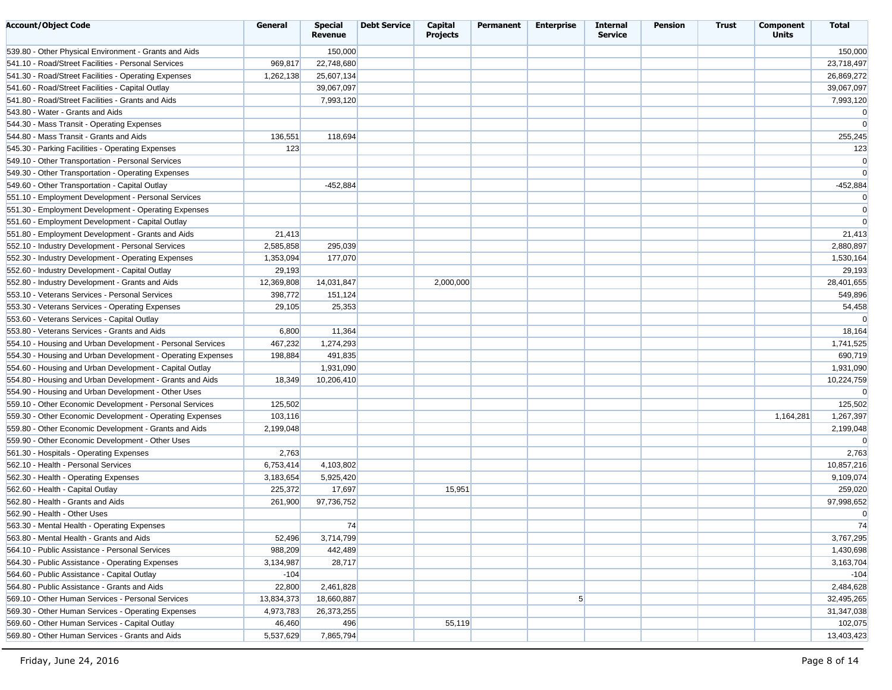| <b>Account/Object Code</b>                                                                                                | General            | <b>Special</b><br><b>Revenue</b> | <b>Debt Service</b> | Capital<br><b>Projects</b> | Permanent | <b>Enterprise</b> | <b>Internal</b><br><b>Service</b> | <b>Pension</b> | <b>Trust</b> | Component<br><b>Units</b> | Total                |
|---------------------------------------------------------------------------------------------------------------------------|--------------------|----------------------------------|---------------------|----------------------------|-----------|-------------------|-----------------------------------|----------------|--------------|---------------------------|----------------------|
| 539.80 - Other Physical Environment - Grants and Aids                                                                     |                    | 150,000                          |                     |                            |           |                   |                                   |                |              |                           | 150,000              |
| 541.10 - Road/Street Facilities - Personal Services                                                                       | 969,817            | 22,748,680                       |                     |                            |           |                   |                                   |                |              |                           | 23,718,497           |
| 541.30 - Road/Street Facilities - Operating Expenses                                                                      | 1,262,138          | 25,607,134                       |                     |                            |           |                   |                                   |                |              |                           | 26,869,272           |
| 541.60 - Road/Street Facilities - Capital Outlay                                                                          |                    | 39,067,097                       |                     |                            |           |                   |                                   |                |              |                           | 39,067,097           |
| 541.80 - Road/Street Facilities - Grants and Aids                                                                         |                    | 7,993,120                        |                     |                            |           |                   |                                   |                |              |                           | 7,993,120            |
| 543.80 - Water - Grants and Aids                                                                                          |                    |                                  |                     |                            |           |                   |                                   |                |              |                           | $\overline{0}$       |
| 544.30 - Mass Transit - Operating Expenses                                                                                |                    |                                  |                     |                            |           |                   |                                   |                |              |                           | $\overline{0}$       |
| 544.80 - Mass Transit - Grants and Aids                                                                                   | 136,551            | 118,694                          |                     |                            |           |                   |                                   |                |              |                           | 255,245              |
| 545.30 - Parking Facilities - Operating Expenses                                                                          | 123                |                                  |                     |                            |           |                   |                                   |                |              |                           | 123                  |
| 549.10 - Other Transportation - Personal Services                                                                         |                    |                                  |                     |                            |           |                   |                                   |                |              |                           | $\overline{0}$       |
| 549.30 - Other Transportation - Operating Expenses                                                                        |                    |                                  |                     |                            |           |                   |                                   |                |              |                           | $\overline{0}$       |
| 549.60 - Other Transportation - Capital Outlay                                                                            |                    | $-452,884$                       |                     |                            |           |                   |                                   |                |              |                           | $-452,884$           |
| 551.10 - Employment Development - Personal Services                                                                       |                    |                                  |                     |                            |           |                   |                                   |                |              |                           | $\overline{0}$       |
| 551.30 - Employment Development - Operating Expenses                                                                      |                    |                                  |                     |                            |           |                   |                                   |                |              |                           | $\overline{0}$       |
| 551.60 - Employment Development - Capital Outlay                                                                          |                    |                                  |                     |                            |           |                   |                                   |                |              |                           | $\overline{0}$       |
| 551.80 - Employment Development - Grants and Aids                                                                         | 21,413             |                                  |                     |                            |           |                   |                                   |                |              |                           | 21,413               |
| 552.10 - Industry Development - Personal Services                                                                         | 2,585,858          | 295,039                          |                     |                            |           |                   |                                   |                |              |                           | 2,880,897            |
| 552.30 - Industry Development - Operating Expenses                                                                        | 1,353,094          | 177,070                          |                     |                            |           |                   |                                   |                |              |                           | 1,530,164            |
| 552.60 - Industry Development - Capital Outlay                                                                            | 29,193             |                                  |                     |                            |           |                   |                                   |                |              |                           | 29,193               |
| 552.80 - Industry Development - Grants and Aids                                                                           | 12,369,808         | 14,031,847                       |                     | 2,000,000                  |           |                   |                                   |                |              |                           | 28,401,655           |
| 553.10 - Veterans Services - Personal Services                                                                            | 398,772            | 151,124                          |                     |                            |           |                   |                                   |                |              |                           | 549,896              |
| 553.30 - Veterans Services - Operating Expenses                                                                           | 29,105             | 25,353                           |                     |                            |           |                   |                                   |                |              |                           | 54,458               |
| 553.60 - Veterans Services - Capital Outlay                                                                               |                    |                                  |                     |                            |           |                   |                                   |                |              |                           | $\Omega$             |
| 553.80 - Veterans Services - Grants and Aids                                                                              |                    | 11,364                           |                     |                            |           |                   |                                   |                |              |                           | 18,164               |
|                                                                                                                           | 6,800              |                                  |                     |                            |           |                   |                                   |                |              |                           |                      |
| 554.10 - Housing and Urban Development - Personal Services<br>554.30 - Housing and Urban Development - Operating Expenses | 467,232<br>198,884 | 1,274,293<br>491,835             |                     |                            |           |                   |                                   |                |              |                           | 1,741,525<br>690,719 |
|                                                                                                                           |                    |                                  |                     |                            |           |                   |                                   |                |              |                           |                      |
| 554.60 - Housing and Urban Development - Capital Outlay                                                                   |                    | 1,931,090                        |                     |                            |           |                   |                                   |                |              |                           | 1,931,090            |
| 554.80 - Housing and Urban Development - Grants and Aids                                                                  | 18,349             | 10,206,410                       |                     |                            |           |                   |                                   |                |              |                           | 10,224,759           |
| 554.90 - Housing and Urban Development - Other Uses                                                                       |                    |                                  |                     |                            |           |                   |                                   |                |              |                           | $\overline{0}$       |
| 559.10 - Other Economic Development - Personal Services                                                                   | 125,502<br>103,116 |                                  |                     |                            |           |                   |                                   |                |              |                           | 125,502              |
| 559.30 - Other Economic Development - Operating Expenses                                                                  |                    |                                  |                     |                            |           |                   |                                   |                |              | 1,164,281                 | 1,267,397            |
| 559.80 - Other Economic Development - Grants and Aids                                                                     | 2,199,048          |                                  |                     |                            |           |                   |                                   |                |              |                           | 2,199,048            |
| 559.90 - Other Economic Development - Other Uses                                                                          |                    |                                  |                     |                            |           |                   |                                   |                |              |                           | $\Omega$             |
| 561.30 - Hospitals - Operating Expenses                                                                                   | 2,763              |                                  |                     |                            |           |                   |                                   |                |              |                           | 2,763                |
| 562.10 - Health - Personal Services                                                                                       | 6,753,414          | 4,103,802                        |                     |                            |           |                   |                                   |                |              |                           | 10,857,216           |
| 562.30 - Health - Operating Expenses                                                                                      | 3,183,654          | 5,925,420                        |                     |                            |           |                   |                                   |                |              |                           | 9,109,074            |
| 562.60 - Health - Capital Outlay                                                                                          | 225,372            | 17,697                           |                     | 15,951                     |           |                   |                                   |                |              |                           | 259,020              |
| 562.80 - Health - Grants and Aids                                                                                         | 261,900            | 97,736,752                       |                     |                            |           |                   |                                   |                |              |                           | 97,998,652           |
| 562.90 - Health - Other Uses                                                                                              |                    |                                  |                     |                            |           |                   |                                   |                |              |                           | $\overline{0}$       |
| 563.30 - Mental Health - Operating Expenses                                                                               |                    | 74                               |                     |                            |           |                   |                                   |                |              |                           | 74                   |
| 563.80 - Mental Health - Grants and Aids                                                                                  | 52,496             | 3,714,799                        |                     |                            |           |                   |                                   |                |              |                           | 3,767,295            |
| 564.10 - Public Assistance - Personal Services                                                                            | 988,209            | 442,489                          |                     |                            |           |                   |                                   |                |              |                           | 1,430,698            |
| 564.30 - Public Assistance - Operating Expenses                                                                           | 3,134,987          | 28,717                           |                     |                            |           |                   |                                   |                |              |                           | 3,163,704            |
| 564.60 - Public Assistance - Capital Outlay                                                                               | $-104$             |                                  |                     |                            |           |                   |                                   |                |              |                           | $-104$               |
| 564.80 - Public Assistance - Grants and Aids                                                                              | 22,800             | 2,461,828                        |                     |                            |           |                   |                                   |                |              |                           | 2,484,628            |
| 569.10 - Other Human Services - Personal Services                                                                         | 13,834,373         | 18,660,887                       |                     |                            |           | 5 <sup>5</sup>    |                                   |                |              |                           | 32,495,265           |
| 569.30 - Other Human Services - Operating Expenses                                                                        | 4,973,783          | 26,373,255                       |                     |                            |           |                   |                                   |                |              |                           | 31,347,038           |
| 569.60 - Other Human Services - Capital Outlay                                                                            | 46,460             | 496                              |                     | 55,119                     |           |                   |                                   |                |              |                           | 102,075              |
| 569.80 - Other Human Services - Grants and Aids                                                                           | 5,537,629          | 7,865,794                        |                     |                            |           |                   |                                   |                |              |                           | 13,403,423           |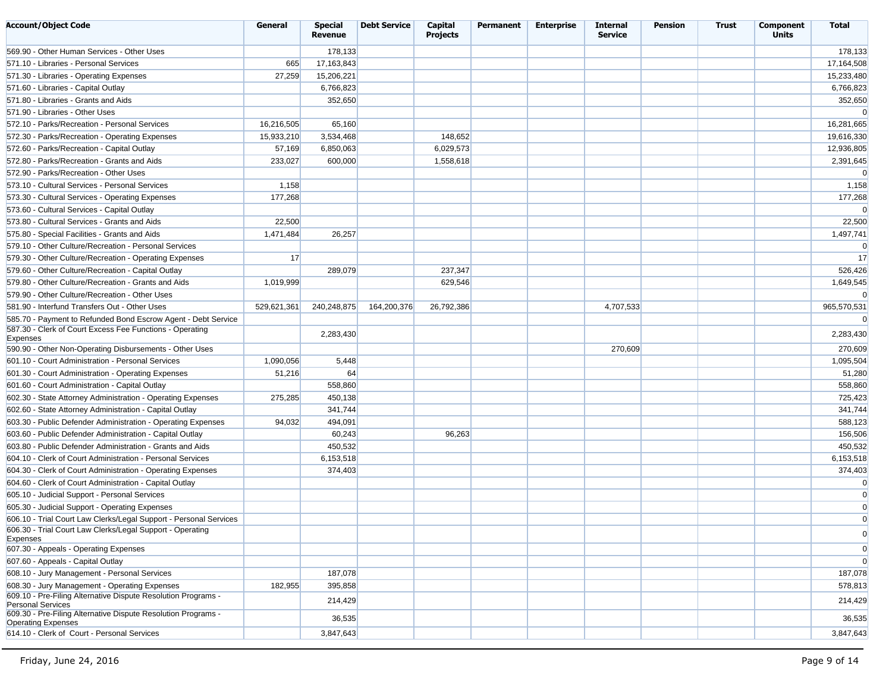| Account/Object Code                                                                        | General     | <b>Special</b><br>Revenue | <b>Debt Service</b> | Capital<br><b>Projects</b> | Permanent | <b>Enterprise</b> | <b>Internal</b><br><b>Service</b> | <b>Pension</b> | <b>Trust</b> | Component<br><b>Units</b> | <b>Total</b>   |
|--------------------------------------------------------------------------------------------|-------------|---------------------------|---------------------|----------------------------|-----------|-------------------|-----------------------------------|----------------|--------------|---------------------------|----------------|
| 569.90 - Other Human Services - Other Uses                                                 |             | 178,133                   |                     |                            |           |                   |                                   |                |              |                           | 178,133        |
| 571.10 - Libraries - Personal Services                                                     | 665         | 17,163,843                |                     |                            |           |                   |                                   |                |              |                           | 17,164,508     |
| 571.30 - Libraries - Operating Expenses                                                    | 27,259      | 15,206,221                |                     |                            |           |                   |                                   |                |              |                           | 15,233,480     |
| 571.60 - Libraries - Capital Outlay                                                        |             | 6,766,823                 |                     |                            |           |                   |                                   |                |              |                           | 6,766,823      |
| 571.80 - Libraries - Grants and Aids                                                       |             | 352,650                   |                     |                            |           |                   |                                   |                |              |                           | 352,650        |
| 571.90 - Libraries - Other Uses                                                            |             |                           |                     |                            |           |                   |                                   |                |              |                           | $\overline{0}$ |
| 572.10 - Parks/Recreation - Personal Services                                              | 16,216,505  | 65,160                    |                     |                            |           |                   |                                   |                |              |                           | 16,281,665     |
| 572.30 - Parks/Recreation - Operating Expenses                                             | 15,933,210  | 3,534,468                 |                     | 148,652                    |           |                   |                                   |                |              |                           | 19,616,330     |
| 572.60 - Parks/Recreation - Capital Outlay                                                 | 57,169      | 6,850,063                 |                     | 6,029,573                  |           |                   |                                   |                |              |                           | 12,936,805     |
| 572.80 - Parks/Recreation - Grants and Aids                                                | 233,027     | 600,000                   |                     | 1,558,618                  |           |                   |                                   |                |              |                           | 2,391,645      |
| 572.90 - Parks/Recreation - Other Uses                                                     |             |                           |                     |                            |           |                   |                                   |                |              |                           | $\overline{0}$ |
| 573.10 - Cultural Services - Personal Services                                             | 1,158       |                           |                     |                            |           |                   |                                   |                |              |                           | 1,158          |
| 573.30 - Cultural Services - Operating Expenses                                            | 177,268     |                           |                     |                            |           |                   |                                   |                |              |                           | 177,268        |
| 573.60 - Cultural Services - Capital Outlay                                                |             |                           |                     |                            |           |                   |                                   |                |              |                           | $\Omega$       |
| 573.80 - Cultural Services - Grants and Aids                                               | 22,500      |                           |                     |                            |           |                   |                                   |                |              |                           | 22,500         |
| 575.80 - Special Facilities - Grants and Aids                                              | 1,471,484   | 26,257                    |                     |                            |           |                   |                                   |                |              |                           | 1,497,741      |
| 579.10 - Other Culture/Recreation - Personal Services                                      |             |                           |                     |                            |           |                   |                                   |                |              |                           | $\overline{0}$ |
| 579.30 - Other Culture/Recreation - Operating Expenses                                     | 17          |                           |                     |                            |           |                   |                                   |                |              |                           | 17             |
| 579.60 - Other Culture/Recreation - Capital Outlay                                         |             | 289,079                   |                     | 237,347                    |           |                   |                                   |                |              |                           | 526,426        |
| 579.80 - Other Culture/Recreation - Grants and Aids                                        | 1,019,999   |                           |                     | 629,546                    |           |                   |                                   |                |              |                           | 1,649,545      |
| 579.90 - Other Culture/Recreation - Other Uses                                             |             |                           |                     |                            |           |                   |                                   |                |              |                           | $\Omega$       |
| 581.90 - Interfund Transfers Out - Other Uses                                              | 529,621,361 | 240,248,875               | 164,200,376         | 26,792,386                 |           |                   | 4,707,533                         |                |              |                           | 965,570,531    |
| 585.70 - Payment to Refunded Bond Escrow Agent - Debt Service                              |             |                           |                     |                            |           |                   |                                   |                |              |                           | $\overline{0}$ |
| 587.30 - Clerk of Court Excess Fee Functions - Operating                                   |             |                           |                     |                            |           |                   |                                   |                |              |                           |                |
| <b>Expenses</b>                                                                            |             | 2,283,430                 |                     |                            |           |                   |                                   |                |              |                           | 2,283,430      |
| 590.90 - Other Non-Operating Disbursements - Other Uses                                    |             |                           |                     |                            |           |                   | 270,609                           |                |              |                           | 270,609        |
| 601.10 - Court Administration - Personal Services                                          | 1,090,056   | 5,448                     |                     |                            |           |                   |                                   |                |              |                           | 1,095,504      |
| 601.30 - Court Administration - Operating Expenses                                         | 51,216      | 64                        |                     |                            |           |                   |                                   |                |              |                           | 51,280         |
| 601.60 - Court Administration - Capital Outlay                                             |             | 558,860                   |                     |                            |           |                   |                                   |                |              |                           | 558,860        |
| 602.30 - State Attorney Administration - Operating Expenses                                | 275,285     | 450,138                   |                     |                            |           |                   |                                   |                |              |                           | 725,423        |
| 602.60 - State Attorney Administration - Capital Outlay                                    |             | 341,744                   |                     |                            |           |                   |                                   |                |              |                           | 341,744        |
| 603.30 - Public Defender Administration - Operating Expenses                               | 94,032      | 494,091                   |                     |                            |           |                   |                                   |                |              |                           | 588,123        |
| 603.60 - Public Defender Administration - Capital Outlay                                   |             | 60,243                    |                     | 96,263                     |           |                   |                                   |                |              |                           | 156,506        |
| 603.80 - Public Defender Administration - Grants and Aids                                  |             | 450,532                   |                     |                            |           |                   |                                   |                |              |                           | 450,532        |
| 604.10 - Clerk of Court Administration - Personal Services                                 |             | 6,153,518                 |                     |                            |           |                   |                                   |                |              |                           | 6,153,518      |
| 604.30 - Clerk of Court Administration - Operating Expenses                                |             | 374,403                   |                     |                            |           |                   |                                   |                |              |                           | 374,403        |
| 604.60 - Clerk of Court Administration - Capital Outlay                                    |             |                           |                     |                            |           |                   |                                   |                |              |                           | $\overline{0}$ |
| 605.10 - Judicial Support - Personal Services                                              |             |                           |                     |                            |           |                   |                                   |                |              |                           | $\overline{0}$ |
| 605.30 - Judicial Support - Operating Expenses                                             |             |                           |                     |                            |           |                   |                                   |                |              |                           | $\overline{0}$ |
| 606.10 - Trial Court Law Clerks/Legal Support - Personal Services                          |             |                           |                     |                            |           |                   |                                   |                |              |                           | $\Omega$       |
| 606.30 - Trial Court Law Clerks/Legal Support - Operating<br><b>Expenses</b>               |             |                           |                     |                            |           |                   |                                   |                |              |                           | $\overline{0}$ |
| 607.30 - Appeals - Operating Expenses                                                      |             |                           |                     |                            |           |                   |                                   |                |              |                           | $\overline{0}$ |
| 607.60 - Appeals - Capital Outlay                                                          |             |                           |                     |                            |           |                   |                                   |                |              |                           | $\overline{0}$ |
| 608.10 - Jury Management - Personal Services                                               |             | 187,078                   |                     |                            |           |                   |                                   |                |              |                           | 187,078        |
| 608.30 - Jury Management - Operating Expenses                                              | 182,955     | 395,858                   |                     |                            |           |                   |                                   |                |              |                           | 578,813        |
| 609.10 - Pre-Filing Alternative Dispute Resolution Programs -<br><b>Personal Services</b>  |             | 214,429                   |                     |                            |           |                   |                                   |                |              |                           | 214,429        |
| 609.30 - Pre-Filing Alternative Dispute Resolution Programs -<br><b>Operating Expenses</b> |             | 36,535                    |                     |                            |           |                   |                                   |                |              |                           | 36,535         |
| 614.10 - Clerk of Court - Personal Services                                                |             | 3,847,643                 |                     |                            |           |                   |                                   |                |              |                           | 3,847,643      |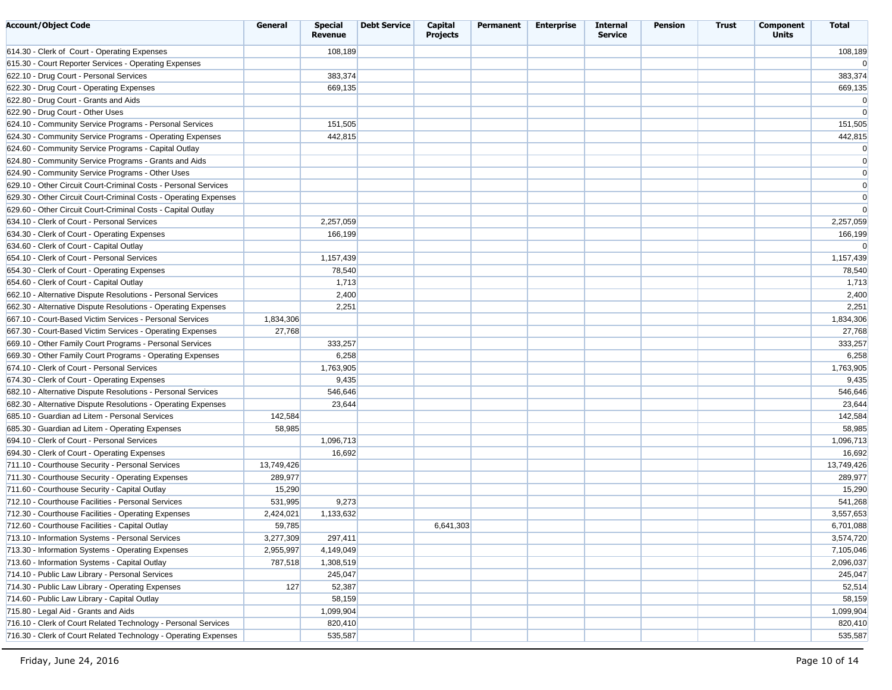| <b>Account/Object Code</b>                                       | General    | <b>Special</b><br>Revenue | <b>Debt Service</b> | Capital<br><b>Projects</b> | Permanent | <b>Enterprise</b> | <b>Internal</b><br><b>Service</b> | <b>Pension</b> | <b>Trust</b> | Component<br><b>Units</b> | <b>Total</b>   |
|------------------------------------------------------------------|------------|---------------------------|---------------------|----------------------------|-----------|-------------------|-----------------------------------|----------------|--------------|---------------------------|----------------|
| 614.30 - Clerk of Court - Operating Expenses                     |            | 108,189                   |                     |                            |           |                   |                                   |                |              |                           | 108,189        |
| 615.30 - Court Reporter Services - Operating Expenses            |            |                           |                     |                            |           |                   |                                   |                |              |                           | $\overline{0}$ |
| 622.10 - Drug Court - Personal Services                          |            | 383,374                   |                     |                            |           |                   |                                   |                |              |                           | 383,374        |
| 622.30 - Drug Court - Operating Expenses                         |            | 669,135                   |                     |                            |           |                   |                                   |                |              |                           | 669,135        |
| 622.80 - Drug Court - Grants and Aids                            |            |                           |                     |                            |           |                   |                                   |                |              |                           | $\overline{0}$ |
| 622.90 - Drug Court - Other Uses                                 |            |                           |                     |                            |           |                   |                                   |                |              |                           | $\overline{0}$ |
| 624.10 - Community Service Programs - Personal Services          |            | 151,505                   |                     |                            |           |                   |                                   |                |              |                           | 151,505        |
| 624.30 - Community Service Programs - Operating Expenses         |            | 442,815                   |                     |                            |           |                   |                                   |                |              |                           | 442,815        |
| 624.60 - Community Service Programs - Capital Outlay             |            |                           |                     |                            |           |                   |                                   |                |              |                           | $\overline{0}$ |
| 624.80 - Community Service Programs - Grants and Aids            |            |                           |                     |                            |           |                   |                                   |                |              |                           | $\overline{0}$ |
| 624.90 - Community Service Programs - Other Uses                 |            |                           |                     |                            |           |                   |                                   |                |              |                           | $\overline{0}$ |
| 629.10 - Other Circuit Court-Criminal Costs - Personal Services  |            |                           |                     |                            |           |                   |                                   |                |              |                           | $\overline{0}$ |
| 629.30 - Other Circuit Court-Criminal Costs - Operating Expenses |            |                           |                     |                            |           |                   |                                   |                |              |                           | $\overline{0}$ |
| 629.60 - Other Circuit Court-Criminal Costs - Capital Outlay     |            |                           |                     |                            |           |                   |                                   |                |              |                           | $\overline{0}$ |
| 634.10 - Clerk of Court - Personal Services                      |            | 2,257,059                 |                     |                            |           |                   |                                   |                |              |                           | 2,257,059      |
| 634.30 - Clerk of Court - Operating Expenses                     |            | 166,199                   |                     |                            |           |                   |                                   |                |              |                           | 166,199        |
| 634.60 - Clerk of Court - Capital Outlay                         |            |                           |                     |                            |           |                   |                                   |                |              |                           | $\overline{0}$ |
| 654.10 - Clerk of Court - Personal Services                      |            | 1,157,439                 |                     |                            |           |                   |                                   |                |              |                           | 1,157,439      |
| 654.30 - Clerk of Court - Operating Expenses                     |            | 78,540                    |                     |                            |           |                   |                                   |                |              |                           | 78,540         |
| 654.60 - Clerk of Court - Capital Outlay                         |            | 1,713                     |                     |                            |           |                   |                                   |                |              |                           | 1,713          |
| 662.10 - Alternative Dispute Resolutions - Personal Services     |            | 2,400                     |                     |                            |           |                   |                                   |                |              |                           | 2,400          |
| 662.30 - Alternative Dispute Resolutions - Operating Expenses    |            | 2,251                     |                     |                            |           |                   |                                   |                |              |                           | 2,251          |
| 667.10 - Court-Based Victim Services - Personal Services         | 1,834,306  |                           |                     |                            |           |                   |                                   |                |              |                           | 1,834,306      |
| 667.30 - Court-Based Victim Services - Operating Expenses        | 27,768     |                           |                     |                            |           |                   |                                   |                |              |                           | 27,768         |
| 669.10 - Other Family Court Programs - Personal Services         |            | 333,257                   |                     |                            |           |                   |                                   |                |              |                           | 333,257        |
| 669.30 - Other Family Court Programs - Operating Expenses        |            | 6,258                     |                     |                            |           |                   |                                   |                |              |                           | 6,258          |
| 674.10 - Clerk of Court - Personal Services                      |            | 1,763,905                 |                     |                            |           |                   |                                   |                |              |                           | 1,763,905      |
| 674.30 - Clerk of Court - Operating Expenses                     |            | 9,435                     |                     |                            |           |                   |                                   |                |              |                           | 9,435          |
| 682.10 - Alternative Dispute Resolutions - Personal Services     |            | 546,646                   |                     |                            |           |                   |                                   |                |              |                           | 546,646        |
| 682.30 - Alternative Dispute Resolutions - Operating Expenses    |            | 23,644                    |                     |                            |           |                   |                                   |                |              |                           | 23,644         |
| 685.10 - Guardian ad Litem - Personal Services                   | 142,584    |                           |                     |                            |           |                   |                                   |                |              |                           | 142,584        |
| 685.30 - Guardian ad Litem - Operating Expenses                  | 58,985     |                           |                     |                            |           |                   |                                   |                |              |                           | 58,985         |
| 694.10 - Clerk of Court - Personal Services                      |            | 1,096,713                 |                     |                            |           |                   |                                   |                |              |                           | 1,096,713      |
| 694.30 - Clerk of Court - Operating Expenses                     |            | 16,692                    |                     |                            |           |                   |                                   |                |              |                           | 16,692         |
| 711.10 - Courthouse Security - Personal Services                 | 13,749,426 |                           |                     |                            |           |                   |                                   |                |              |                           | 13,749,426     |
| 711.30 - Courthouse Security - Operating Expenses                | 289,977    |                           |                     |                            |           |                   |                                   |                |              |                           | 289,977        |
| 711.60 - Courthouse Security - Capital Outlay                    | 15,290     |                           |                     |                            |           |                   |                                   |                |              |                           | 15,290         |
| 712.10 - Courthouse Facilities - Personal Services               | 531,995    | 9,273                     |                     |                            |           |                   |                                   |                |              |                           | 541,268        |
| 712.30 - Courthouse Facilities - Operating Expenses              | 2,424,021  | 1,133,632                 |                     |                            |           |                   |                                   |                |              |                           | 3,557,653      |
| 712.60 - Courthouse Facilities - Capital Outlay                  | 59,785     |                           |                     | 6,641,303                  |           |                   |                                   |                |              |                           | 6,701,088      |
| 713.10 - Information Systems - Personal Services                 | 3,277,309  | 297,411                   |                     |                            |           |                   |                                   |                |              |                           | 3,574,720      |
| 713.30 - Information Systems - Operating Expenses                | 2,955,997  | 4,149,049                 |                     |                            |           |                   |                                   |                |              |                           | 7,105,046      |
| 713.60 - Information Systems - Capital Outlay                    | 787,518    | 1,308,519                 |                     |                            |           |                   |                                   |                |              |                           | 2,096,037      |
| 714.10 - Public Law Library - Personal Services                  |            | 245,047                   |                     |                            |           |                   |                                   |                |              |                           | 245,047        |
| 714.30 - Public Law Library - Operating Expenses                 | 127        | 52,387                    |                     |                            |           |                   |                                   |                |              |                           | 52,514         |
| 714.60 - Public Law Library - Capital Outlay                     |            | 58,159                    |                     |                            |           |                   |                                   |                |              |                           | 58,159         |
| 715.80 - Legal Aid - Grants and Aids                             |            | 1,099,904                 |                     |                            |           |                   |                                   |                |              |                           | 1,099,904      |
| 716.10 - Clerk of Court Related Technology - Personal Services   |            | 820,410                   |                     |                            |           |                   |                                   |                |              |                           | 820,410        |
| 716.30 - Clerk of Court Related Technology - Operating Expenses  |            | 535,587                   |                     |                            |           |                   |                                   |                |              |                           | 535,587        |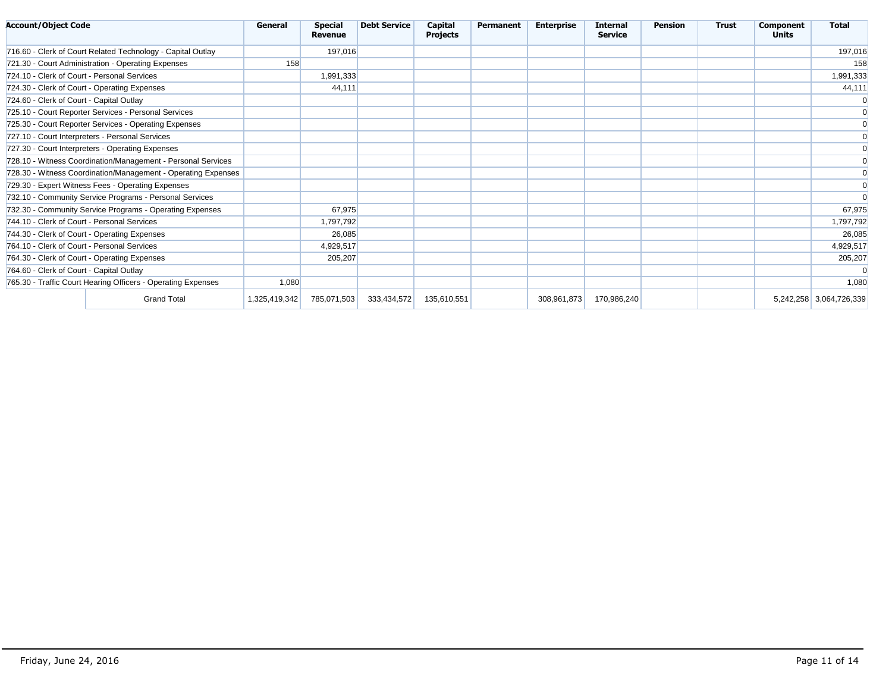| <b>Account/Object Code</b>                   |                                                               | General       | <b>Special</b><br><b>Revenue</b> | <b>Debt Service</b> | Capital<br><b>Projects</b> | Permanent | <b>Enterprise</b> | <b>Internal</b><br><b>Service</b> | <b>Pension</b> | <b>Trust</b> | Component<br><b>Units</b> | <b>Total</b>            |
|----------------------------------------------|---------------------------------------------------------------|---------------|----------------------------------|---------------------|----------------------------|-----------|-------------------|-----------------------------------|----------------|--------------|---------------------------|-------------------------|
|                                              | 716.60 - Clerk of Court Related Technology - Capital Outlay   |               | 197.016                          |                     |                            |           |                   |                                   |                |              |                           | 197,016                 |
|                                              | 721.30 - Court Administration - Operating Expenses            | 158           |                                  |                     |                            |           |                   |                                   |                |              |                           | 158                     |
| 724.10 - Clerk of Court - Personal Services  |                                                               |               | 1,991,333                        |                     |                            |           |                   |                                   |                |              |                           | 1,991,333               |
| 724.30 - Clerk of Court - Operating Expenses |                                                               |               | 44,111                           |                     |                            |           |                   |                                   |                |              |                           | 44,111                  |
| 724.60 - Clerk of Court - Capital Outlay     |                                                               |               |                                  |                     |                            |           |                   |                                   |                |              |                           | $\Omega$                |
|                                              | 725.10 - Court Reporter Services - Personal Services          |               |                                  |                     |                            |           |                   |                                   |                |              |                           | $\overline{0}$          |
|                                              | 725.30 - Court Reporter Services - Operating Expenses         |               |                                  |                     |                            |           |                   |                                   |                |              |                           | $\overline{0}$          |
|                                              | 727.10 - Court Interpreters - Personal Services               |               |                                  |                     |                            |           |                   |                                   |                |              |                           | $\overline{0}$          |
|                                              | 727.30 - Court Interpreters - Operating Expenses              |               |                                  |                     |                            |           |                   |                                   |                |              |                           | $\overline{0}$          |
|                                              | 728.10 - Witness Coordination/Management - Personal Services  |               |                                  |                     |                            |           |                   |                                   |                |              |                           | $\overline{0}$          |
|                                              | 728.30 - Witness Coordination/Management - Operating Expenses |               |                                  |                     |                            |           |                   |                                   |                |              |                           | $\overline{0}$          |
|                                              | 729.30 - Expert Witness Fees - Operating Expenses             |               |                                  |                     |                            |           |                   |                                   |                |              |                           | $\overline{0}$          |
|                                              | 732.10 - Community Service Programs - Personal Services       |               |                                  |                     |                            |           |                   |                                   |                |              |                           | $\Omega$                |
|                                              | 732.30 - Community Service Programs - Operating Expenses      |               | 67,975                           |                     |                            |           |                   |                                   |                |              |                           | 67,975                  |
| 744.10 - Clerk of Court - Personal Services  |                                                               |               | 1,797,792                        |                     |                            |           |                   |                                   |                |              |                           | 1,797,792               |
| 744.30 - Clerk of Court - Operating Expenses |                                                               |               | 26,085                           |                     |                            |           |                   |                                   |                |              |                           | 26,085                  |
| 764.10 - Clerk of Court - Personal Services  |                                                               |               | 4,929,517                        |                     |                            |           |                   |                                   |                |              |                           | 4,929,517               |
| 764.30 - Clerk of Court - Operating Expenses |                                                               |               | 205,207                          |                     |                            |           |                   |                                   |                |              |                           | 205,207                 |
| 764.60 - Clerk of Court - Capital Outlay     |                                                               |               |                                  |                     |                            |           |                   |                                   |                |              |                           | $\Omega$                |
|                                              | 765.30 - Traffic Court Hearing Officers - Operating Expenses  | 1,080         |                                  |                     |                            |           |                   |                                   |                |              |                           | 1,080                   |
|                                              | <b>Grand Total</b>                                            | 1,325,419,342 | 785,071,503                      | 333,434,572         | 135,610,551                |           | 308,961,873       | 170,986,240                       |                |              |                           | 5,242,258 3,064,726,339 |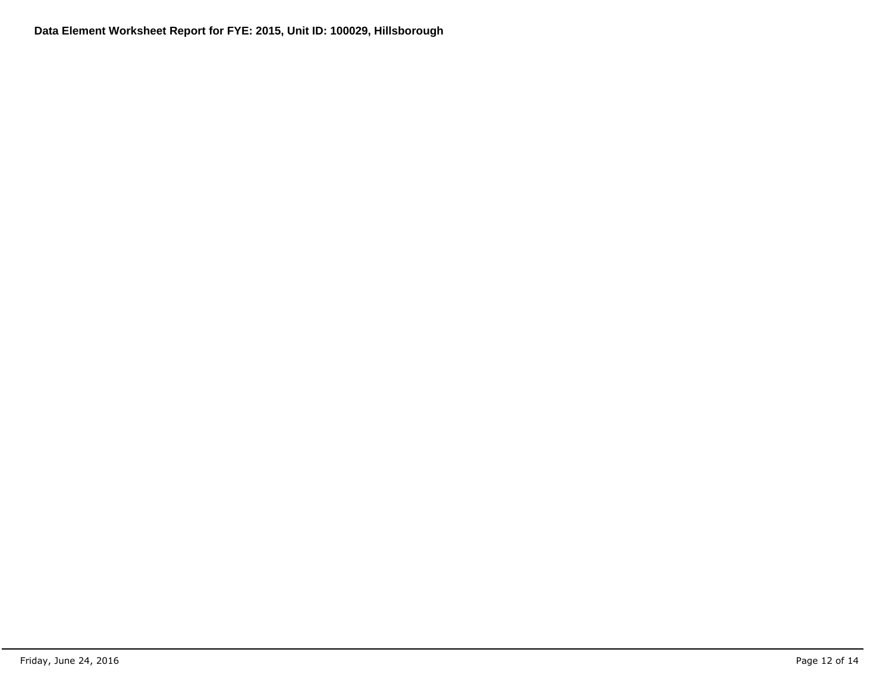**Data Element Worksheet Report for FYE: 2015, Unit ID: 100029, Hillsborough**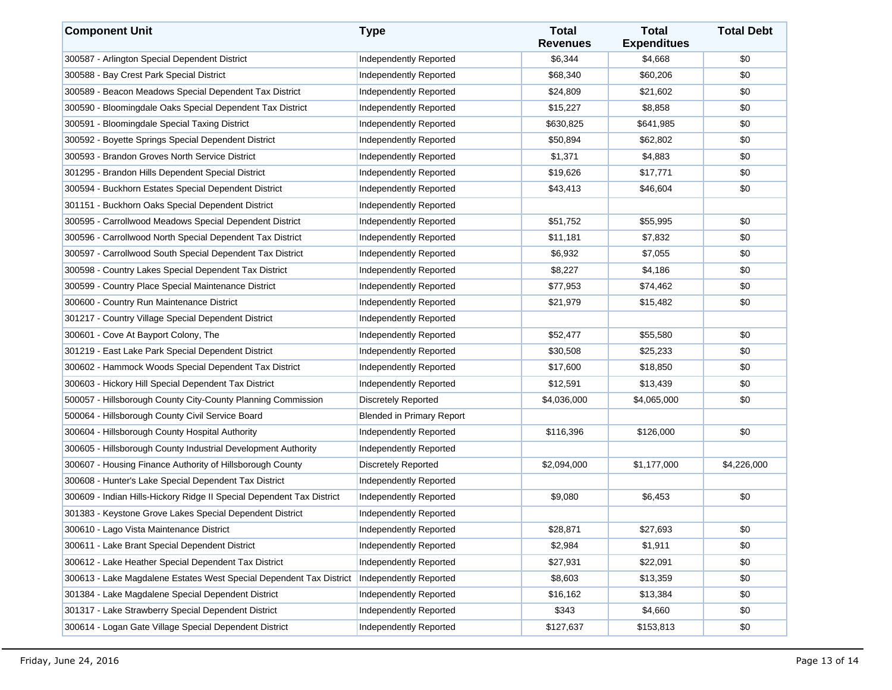| <b>Component Unit</b>                                                 | <b>Type</b>                      | <b>Total</b><br><b>Revenues</b> | <b>Total</b><br><b>Expenditues</b> | <b>Total Debt</b> |
|-----------------------------------------------------------------------|----------------------------------|---------------------------------|------------------------------------|-------------------|
| 300587 - Arlington Special Dependent District                         | Independently Reported           | \$6,344                         | \$4,668                            | \$0               |
| 300588 - Bay Crest Park Special District                              | Independently Reported           | \$68,340                        | \$60,206                           | \$0               |
| 300589 - Beacon Meadows Special Dependent Tax District                | Independently Reported           | \$24,809                        | \$21,602                           | \$0               |
| 300590 - Bloomingdale Oaks Special Dependent Tax District             | Independently Reported           | \$15,227                        | \$8,858                            | \$0               |
| 300591 - Bloomingdale Special Taxing District                         | Independently Reported           | \$630,825                       | \$641,985                          | \$0               |
| 300592 - Boyette Springs Special Dependent District                   | Independently Reported           | \$50,894                        | \$62,802                           | \$0               |
| 300593 - Brandon Groves North Service District                        | Independently Reported           | \$1,371                         | \$4,883                            | \$0               |
| 301295 - Brandon Hills Dependent Special District                     | Independently Reported           | \$19,626                        | \$17,771                           | \$0               |
| 300594 - Buckhorn Estates Special Dependent District                  | Independently Reported           | \$43,413                        | \$46,604                           | \$0               |
| 301151 - Buckhorn Oaks Special Dependent District                     | Independently Reported           |                                 |                                    |                   |
| 300595 - Carrollwood Meadows Special Dependent District               | Independently Reported           | \$51,752                        | \$55,995                           | \$0               |
| 300596 - Carrollwood North Special Dependent Tax District             | Independently Reported           | \$11,181                        | \$7,832                            | \$0               |
| 300597 - Carrollwood South Special Dependent Tax District             | <b>Independently Reported</b>    | \$6,932                         | \$7,055                            | \$0               |
| 300598 - Country Lakes Special Dependent Tax District                 | Independently Reported           | \$8,227                         | \$4,186                            | \$0               |
| 300599 - Country Place Special Maintenance District                   | <b>Independently Reported</b>    | \$77,953                        | \$74,462                           | \$0               |
| 300600 - Country Run Maintenance District                             | Independently Reported           | \$21,979                        | \$15,482                           | \$0               |
| 301217 - Country Village Special Dependent District                   | Independently Reported           |                                 |                                    |                   |
| 300601 - Cove At Bayport Colony, The                                  | <b>Independently Reported</b>    | \$52,477                        | \$55,580                           | \$0               |
| 301219 - East Lake Park Special Dependent District                    | Independently Reported           | \$30,508                        | \$25,233                           | \$0               |
| 300602 - Hammock Woods Special Dependent Tax District                 | <b>Independently Reported</b>    | \$17,600                        | \$18,850                           | \$0               |
| 300603 - Hickory Hill Special Dependent Tax District                  | Independently Reported           | \$12,591                        | \$13,439                           | \$0               |
| 500057 - Hillsborough County City-County Planning Commission          | <b>Discretely Reported</b>       | \$4,036,000                     | \$4,065,000                        | \$0               |
| 500064 - Hillsborough County Civil Service Board                      | <b>Blended in Primary Report</b> |                                 |                                    |                   |
| 300604 - Hillsborough County Hospital Authority                       | Independently Reported           | \$116,396                       | \$126,000                          | \$0               |
| 300605 - Hillsborough County Industrial Development Authority         | <b>Independently Reported</b>    |                                 |                                    |                   |
| 300607 - Housing Finance Authority of Hillsborough County             | <b>Discretely Reported</b>       | \$2,094,000                     | \$1,177,000                        | \$4,226,000       |
| 300608 - Hunter's Lake Special Dependent Tax District                 | Independently Reported           |                                 |                                    |                   |
| 300609 - Indian Hills-Hickory Ridge II Special Dependent Tax District | Independently Reported           | \$9,080                         | \$6,453                            | \$0               |
| 301383 - Keystone Grove Lakes Special Dependent District              | Independently Reported           |                                 |                                    |                   |
| 300610 - Lago Vista Maintenance District                              | Independently Reported           | \$28,871                        | \$27,693                           | \$0               |
| 300611 - Lake Brant Special Dependent District                        | Independently Reported           | \$2,984                         | \$1,911                            | \$0               |
| 300612 - Lake Heather Special Dependent Tax District                  | Independently Reported           | \$27,931                        | \$22,091                           | \$0               |
| 300613 - Lake Magdalene Estates West Special Dependent Tax District   | Independently Reported           | \$8,603                         | \$13,359                           | \$0               |
| 301384 - Lake Magdalene Special Dependent District                    | Independently Reported           | \$16,162                        | \$13,384                           | \$0               |
| 301317 - Lake Strawberry Special Dependent District                   | Independently Reported           | \$343                           | \$4,660                            | \$0               |
| 300614 - Logan Gate Village Special Dependent District                | <b>Independently Reported</b>    | \$127,637                       | \$153,813                          | \$0               |